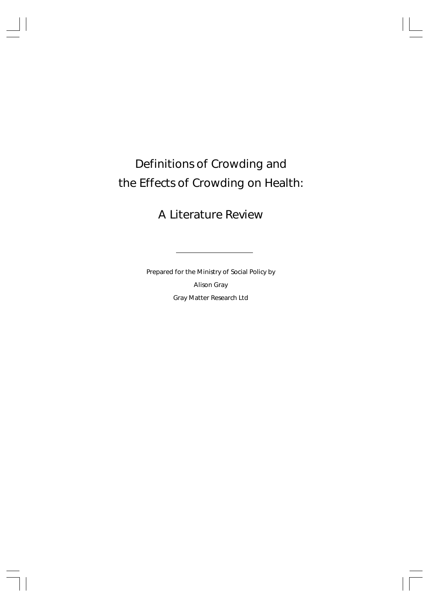# Definitions of Crowding and the Effects of Crowding on Health:

# A Literature Review

Prepared for the Ministry of Social Policy by Alison Gray Gray Matter Research Ltd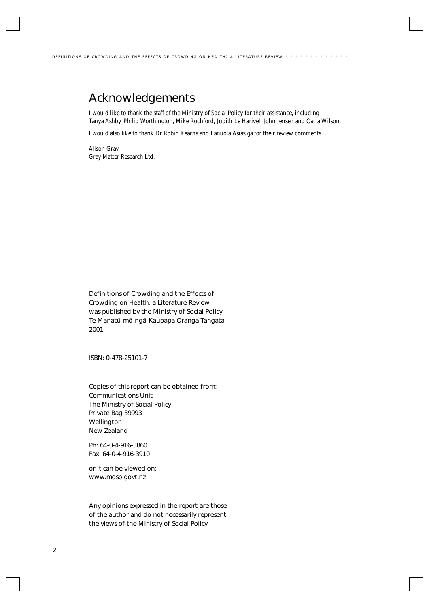# Acknowledgements

I would like to thank the staff of the Ministry of Social Policy for their assistance, including Tanya Ashby, Philip Worthington, Mike Rochford, Judith Le Harivel, John Jensen and Carla Wilson.

I would also like to thank Dr Robin Kearns and Lanuola Asiasiga for their review comments.

Alison Gray Gray Matter Research Ltd.

Definitions of Crowding and the Effects of Crowding on Health: a Literature Review was published by the Ministry of Social Policy Te Manatū mō ngā Kaupapa Oranga Tangata 2001

ISBN: 0-478-25101-7

Copies of this report can be obtained from: Communications Unit The Ministry of Social Policy Private Bag 39993 Wellington New Zealand

Ph: 64-0-4-916-3860 Fax: 64-0-4-916-3910

or it can be viewed on: www.mosp.govt.nz

Any opinions expressed in the report are those of the author and do not necessarily represent the views of the Ministry of Social Policy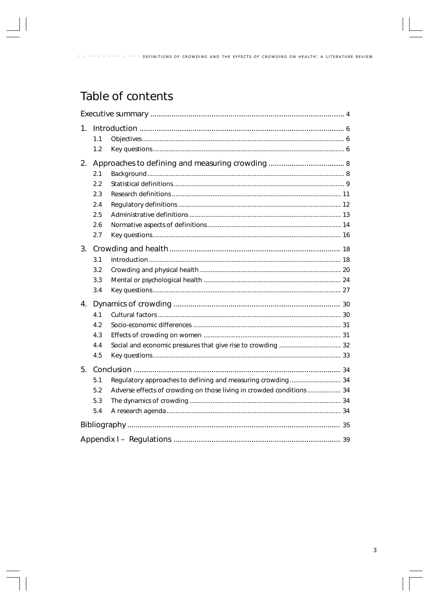# Table of contents

| 1. |     |                                                                       |  |  |  |  |
|----|-----|-----------------------------------------------------------------------|--|--|--|--|
|    | 1.1 |                                                                       |  |  |  |  |
|    | 1.2 |                                                                       |  |  |  |  |
| 2. |     |                                                                       |  |  |  |  |
|    | 2.1 |                                                                       |  |  |  |  |
|    | 2.2 |                                                                       |  |  |  |  |
|    | 2.3 |                                                                       |  |  |  |  |
|    | 2.4 |                                                                       |  |  |  |  |
|    | 2.5 |                                                                       |  |  |  |  |
|    | 2.6 |                                                                       |  |  |  |  |
|    | 2.7 |                                                                       |  |  |  |  |
| 3. |     |                                                                       |  |  |  |  |
|    | 3.1 |                                                                       |  |  |  |  |
|    | 3.2 |                                                                       |  |  |  |  |
|    | 3.3 |                                                                       |  |  |  |  |
|    | 3.4 |                                                                       |  |  |  |  |
| 4. |     |                                                                       |  |  |  |  |
|    | 4.1 |                                                                       |  |  |  |  |
|    | 4.2 |                                                                       |  |  |  |  |
|    | 4.3 |                                                                       |  |  |  |  |
|    | 4.4 |                                                                       |  |  |  |  |
|    | 4.5 |                                                                       |  |  |  |  |
| 5. |     |                                                                       |  |  |  |  |
|    | 5.1 |                                                                       |  |  |  |  |
|    | 5.2 | Adverse effects of crowding on those living in crowded conditions  34 |  |  |  |  |
|    | 5.3 |                                                                       |  |  |  |  |
|    | 5.4 |                                                                       |  |  |  |  |
|    |     |                                                                       |  |  |  |  |
|    |     |                                                                       |  |  |  |  |
|    |     |                                                                       |  |  |  |  |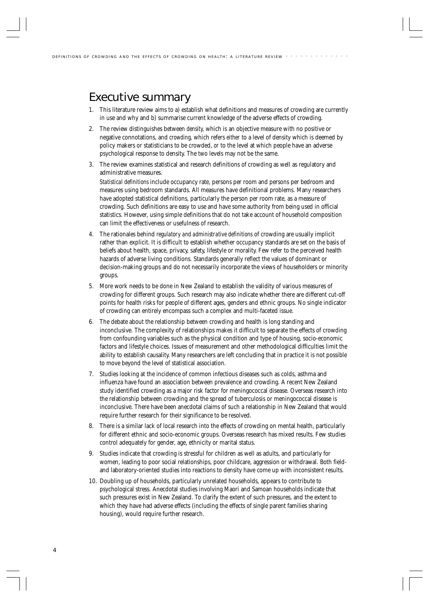# Executive summary

- 1. This literature review aims to a) establish what definitions and measures of crowding are currently in use and why and b) summarise current knowledge of the adverse effects of crowding.
- 2. The review distinguishes between *density,* which is an objective measure with no positive or negative connotations, and *crowding,* which refers *either* to a level of density which is deemed by policy makers or statisticians to be crowded, *or* to the level at which people have an adverse psychological response to density. The two levels may not be the same.
- 3. The review examines statistical and research definitions of crowding as well as regulatory and administrative measures.

*Statistical definitions* include occupancy rate, persons per room and persons per bedroom and measures using bedroom standards. All measures have definitional problems. Many researchers have adopted statistical definitions, particularly the person per room rate, as a measure of crowding. Such definitions are easy to use and have some authority from being used in official statistics. However, using simple definitions that do not take account of household composition can limit the effectiveness or usefulness of research.

- 4. The rationales behind *regulatory and administrative definitions* of crowding are usually implicit rather than explicit. It is difficult to establish whether occupancy standards are set on the basis of beliefs about health, space, privacy, safety, lifestyle or morality. Few refer to the perceived health hazards of adverse living conditions. Standards generally reflect the values of dominant or decision-making groups and do not necessarily incorporate the views of householders or minority groups.
- 5. More work needs to be done in New Zealand to establish the validity of various measures of crowding for different groups. Such research may also indicate whether there are different cut-off points for health risks for people of different ages, genders and ethnic groups. No single indicator of crowding can entirely encompass such a complex and multi-faceted issue.
- 6. The debate about the relationship between crowding and health is long standing and inconclusive. The complexity of relationships makes it difficult to separate the effects of crowding from confounding variables such as the physical condition and type of housing, socio-economic factors and lifestyle choices. Issues of measurement and other methodological difficulties limit the ability to establish causality. Many researchers are left concluding that in practice it is not possible to move beyond the level of statistical association.
- 7. Studies looking at the incidence of common infectious diseases such as colds, asthma and influenza have found an association between prevalence and crowding. A recent New Zealand study identified crowding as a major risk factor for meningococcal disease. Overseas research into the relationship between crowding and the spread of tuberculosis or meningococcal disease is inconclusive. There have been anecdotal claims of such a relationship in New Zealand that would require further research for their significance to be resolved.
- 8. There is a similar lack of local research into the effects of crowding on mental health, particularly for different ethnic and socio-economic groups. Overseas research has mixed results. Few studies control adequately for gender, age, ethnicity or marital status.
- 9. Studies indicate that crowding is stressful for children as well as adults, and particularly for women, leading to poor social relationships, poor childcare, aggression or withdrawal. Both fieldand laboratory-oriented studies into reactions to density have come up with inconsistent results.
- 10. Doubling up of households, particularly unrelated households, appears to contribute to psychological stress. Anecdotal studies involving Maori and Samoan households indicate that such pressures exist in New Zealand. To clarify the extent of such pressures, and the extent to which they have had adverse effects (including the effects of single parent families sharing housing), would require further research.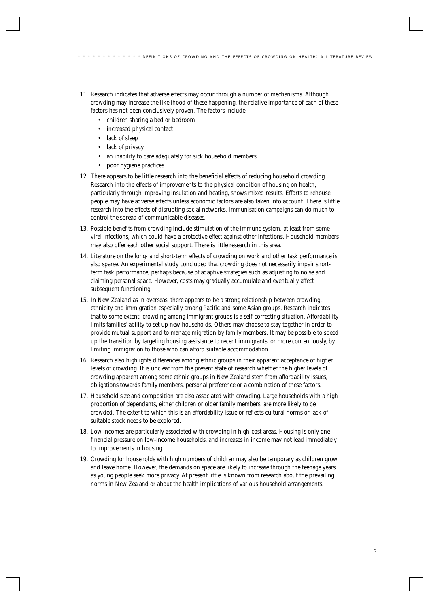- 11. Research indicates that adverse effects may occur through a number of mechanisms. Although crowding may increase the likelihood of these happening, the relative importance of each of these factors has not been conclusively proven. The factors include:
	- children sharing a bed or bedroom
	- increased physical contact
	- lack of sleep
	- lack of privacy
	- an inability to care adequately for sick household members
	- poor hygiene practices.
- 12. There appears to be little research into the beneficial effects of reducing household crowding. Research into the effects of improvements to the physical condition of housing on health, particularly through improving insulation and heating, shows mixed results. Efforts to rehouse people may have adverse effects unless economic factors are also taken into account. There is little research into the effects of disrupting social networks. Immunisation campaigns can do much to control the spread of communicable diseases.
- 13. Possible benefits from crowding include stimulation of the immune system, at least from some viral infections, which could have a protective effect against other infections. Household members may also offer each other social support. There is little research in this area.
- 14. Literature on the long- and short-term effects of crowding on work and other task performance is also sparse. An experimental study concluded that crowding does not necessarily impair shortterm task performance, perhaps because of adaptive strategies such as adjusting to noise and claiming personal space. However, costs may gradually accumulate and eventually affect subsequent functioning.
- 15. In New Zealand as in overseas, there appears to be a strong relationship between crowding, ethnicity and immigration especially among Pacific and some Asian groups. Research indicates that to some extent, crowding among immigrant groups is a self-correcting situation. Affordability limits families' ability to set up new households. Others may choose to stay together in order to provide mutual support and to manage migration by family members. It may be possible to speed up the transition by targeting housing assistance to recent immigrants, or more contentiously, by limiting immigration to those who can afford suitable accommodation.
- 16. Research also highlights differences among ethnic groups in their apparent acceptance of higher levels of crowding. It is unclear from the present state of research whether the higher levels of crowding apparent among some ethnic groups in New Zealand stem from affordability issues, obligations towards family members, personal preference or a combination of these factors.
- 17. Household size and composition are also associated with crowding. Large households with a high proportion of dependants, either children or older family members, are more likely to be crowded. The extent to which this is an affordability issue or reflects cultural norms or lack of suitable stock needs to be explored.
- 18. Low incomes are particularly associated with crowding in high-cost areas. Housing is only one financial pressure on low-income households, and increases in income may not lead immediately to improvements in housing.
- 19. Crowding for households with high numbers of children may also be temporary as children grow and leave home. However, the demands on space are likely to increase through the teenage years as young people seek more privacy. At present little is known from research about the prevailing norms in New Zealand or about the health implications of various household arrangements.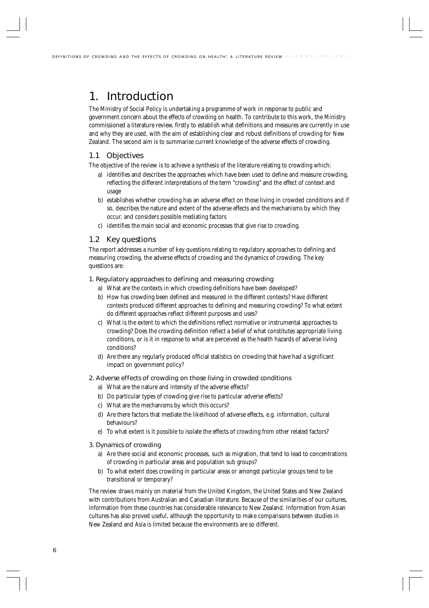# 1. Introduction

The Ministry of Social Policy is undertaking a programme of work in response to public and government concern about the effects of crowding on health. To contribute to this work, the Ministry commissioned a literature review, firstly to establish what definitions and measures are currently in use and why they are used, with the aim of establishing clear and robust definitions of crowding for New Zealand. The second aim is to summarise current knowledge of the adverse effects of crowding.

# 1.1 Objectives

The objective of the review is to achieve a synthesis of the literature relating to crowding which:

- a) identifies and describes the approaches which have been used to define and measure crowding, reflecting the different interpretations of the term "crowding" and the effect of context and usage
- b) establishes whether crowding has an adverse effect on those living in crowded conditions and if so, describes the nature and extent of the adverse effects and the mechanisms by which they occur, and considers possible mediating factors
- c) identifies the main social and economic processes that give rise to crowding.

## 1.2 Key questions

The report addresses a number of key questions relating to regulatory approaches to defining and measuring crowding, the adverse effects of crowding and the dynamics of crowding. The key questions are:

#### 1. Regulatory approaches to defining and measuring crowding

- a) What are the contexts in which crowding definitions have been developed?
- b) How has crowding been defined and measured in the different contexts? Have different contexts produced different approaches to defining and measuring crowding? To what extent do different approaches reflect different purposes and uses?
- c) What is the extent to which the definitions reflect normative or instrumental approaches to crowding? Does the crowding definition reflect a belief of what constitutes appropriate living conditions, or is it in response to what are perceived as the health hazards of adverse living conditions?
- d) Are there any regularly produced official statistics on crowding that have had a significant impact on government policy?

### 2. Adverse effects of crowding on those living in crowded conditions

- a) What are the nature and intensity of the adverse effects?
- b) Do particular types of crowding give rise to particular adverse effects?
- c) What are the mechanisms by which this occurs?
- d) Are there factors that mediate the likelihood of adverse effects, e.g. information, cultural behaviours?
- e) To what extent is it possible to isolate the effects of crowding from other related factors?
- 3. Dynamics of crowding
	- a) Are there social and economic processes, such as migration, that tend to lead to concentrations of crowding in particular areas and population sub groups?
	- b) To what extent does crowding in particular areas or amongst particular groups tend to be transitional or temporary?

The review draws mainly on material from the United Kingdom, the United States and New Zealand with contributions from Australian and Canadian literature. Because of the similarities of our cultures, information from these countries has considerable relevance to New Zealand. Information from Asian cultures has also proved useful, although the opportunity to make comparisons between studies in New Zealand and Asia is limited because the environments are so different.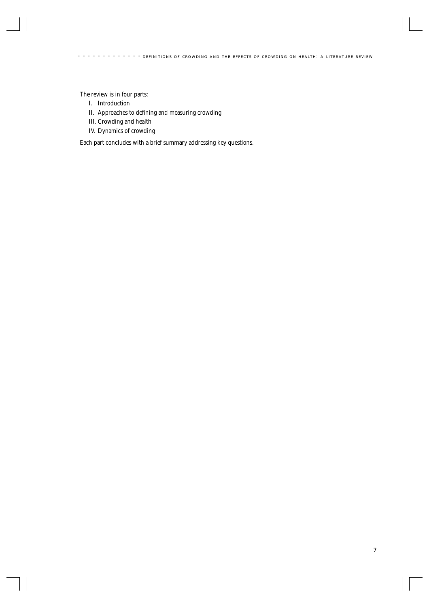The review is in four parts:

- I. Introduction
- II. Approaches to defining and measuring crowding
- III. Crowding and health
- IV. Dynamics of crowding

Each part concludes with a brief summary addressing key questions.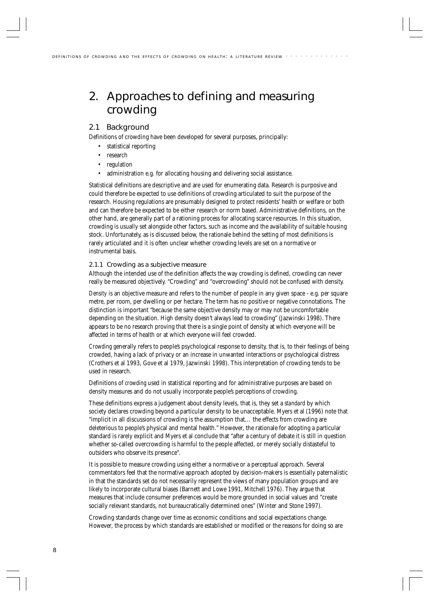# 2. Approaches to defining and measuring crowding

# 2.1 Background

Definitions of crowding have been developed for several purposes, principally:

- statistical reporting
- research
- regulation
- administration e.g. for allocating housing and delivering social assistance.

Statistical definitions are descriptive and are used for enumerating data. Research is purposive and could therefore be expected to use definitions of crowding articulated to suit the purpose of the research. Housing regulations are presumably designed to protect residents' health or welfare or both and can therefore be expected to be either research or norm based. Administrative definitions, on the other hand, are generally part of a rationing process for allocating scarce resources. In this situation, crowding is usually set alongside other factors, such as income and the availability of suitable housing stock. Unfortunately, as is discussed below, the rationale behind the setting of most definitions is rarely articulated and it is often unclear whether crowding levels are set on a normative or instrumental basis.

## 2.1.1 Crowding as a subjective measure

Although the intended use of the definition affects the way crowding is defined, crowding can never really be measured objectively. "Crowding" and "overcrowding" should not be confused with density.

*Density* is an objective measure and refers to the number of people in any given space - e.g. per square metre, per room, per dwelling or per hectare. The term has no positive or negative connotations. The distinction is important "because the same objective density may or may not be uncomfortable depending on the situation. High density doesn't always lead to crowding" (Jazwinski 1998). There appears to be no research proving that there is a single point of density at which everyone will be affected in terms of health or at which everyone will feel crowded.

*Crowding* generally refers to people's psychological response to density, that is, to their feelings of being crowded, having a lack of privacy or an increase in unwanted interactions or psychological distress (Crothers et al 1993, Gove et al 1979, Jazwinski 1998). This interpretation of crowding tends to be used in research.

Definitions of *crowding* used in statistical reporting and for administrative purposes are based on density measures and do not usually incorporate people's perceptions of crowding.

These definitions express a judgement about density levels, that is, they set a *standard* by which society declares crowding beyond a particular density to be unacceptable. Myers et al (1996) note that "implicit in all discussions of crowding is the assumption that… the effects from crowding are deleterious to people's physical and mental health." However, the rationale for adopting a particular standard is rarely explicit and Myers et al conclude that "after a century of debate it is still in question whether so-called overcrowding is harmful to the people affected, or merely socially distasteful to outsiders who observe its presence".

It is possible to measure crowding using either a normative or a perceptual approach. Several commentators feel that the normative approach adopted by decision-makers is essentially paternalistic in that the standards set do not necessarily represent the views of many population groups and are likely to incorporate cultural biases (Barnett and Lowe 1991, Mitchell 1976). They argue that measures that include consumer preferences would be more grounded in social values and "create socially relevant standards, not bureaucratically determined ones" (Winter and Stone 1997).

Crowding standards change over time as economic conditions and social expectations change. However, the process by which standards are established or modified or the reasons for doing so are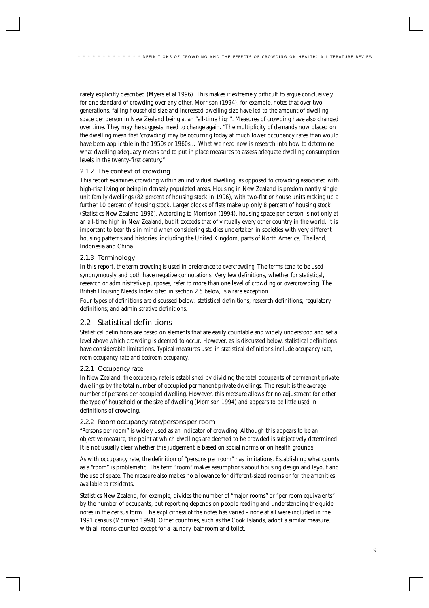rarely explicitly described (Myers et al 1996). This makes it extremely difficult to argue conclusively for one standard of crowding over any other. Morrison (1994), for example, notes that over two generations, falling household size and increased dwelling size have led to the amount of dwelling space per person in New Zealand being at an "all-time high". Measures of crowding have also changed over time. They may, he suggests, need to change again. "The multiplicity of demands now placed on the dwelling mean that 'crowding' may be occurring today at much lower occupancy rates than would have been applicable in the 1950s or 1960s… What we need now is research into how to determine what dwelling adequacy means and to put in place measures to assess adequate dwelling consumption levels in the twenty-first century."

## 2.1.2 The context of crowding

This report examines crowding within an individual dwelling, as opposed to crowding associated with high-rise living or being in densely populated areas. Housing in New Zealand is predominantly single unit family dwellings (82 percent of housing stock in 1996), with two-flat or house units making up a further 10 percent of housing stock. Larger blocks of flats make up only 8 percent of housing stock (Statistics New Zealand 1996). According to Morrison (1994), housing space per person is not only at an all-time high in New Zealand, but it exceeds that of virtually every other country in the world. It is important to bear this in mind when considering studies undertaken in societies with very different housing patterns and histories, including the United Kingdom, parts of North America, Thailand, Indonesia and China.

## 2.1.3 Terminology

In this report, the term *crowding* is used in preference to *overcrowding.* The terms tend to be used synonymously and both have negative connotations. Very few definitions, whether for statistical, research or administrative purposes, refer to more than one level of crowding or overcrowding. The British Housing Needs Index cited in section 2.5 below, is a rare exception.

Four types of definitions are discussed below: statistical definitions; research definitions; regulatory definitions; and administrative definitions.

# 2.2 Statistical definitions

Statistical definitions are based on elements that are easily countable and widely understood and set a level above which crowding is deemed to occur. However, as is discussed below, statistical definitions have considerable limitations. Typical measures used in statistical definitions include *occupancy rate, room occupancy rate* and *bedroom occupancy.*

## 2.2.1 Occupancy rate

In New Zealand, the *occupancy rate* is established by dividing the total occupants of permanent private dwellings by the total number of occupied permanent private dwellings. The result is the average number of persons per occupied dwelling. However, this measure allows for no adjustment for either the type of household or the size of dwelling (Morrison 1994) and appears to be little used in definitions of crowding.

## 2.2.2 Room occupancy rate/persons per room

"Persons per room" is widely used as an indicator of crowding. Although this appears to be an objective measure, the point at which dwellings are deemed to be crowded is subjectively determined. It is not usually clear whether this judgement is based on social norms or on health grounds.

As with occupancy rate, the definition of "persons per room" has limitations. Establishing what counts as a "room" is problematic. The term "room" makes assumptions about housing design and layout and the use of space. The measure also makes no allowance for different-sized rooms or for the amenities available to residents.

Statistics New Zealand, for example, divides the number of "major rooms" or "per room equivalents" by the number of occupants, but reporting depends on people reading and understanding the guide notes in the census form. The explicitness of the notes has varied - none at all were included in the 1991 census (Morrison 1994). Other countries, such as the Cook Islands, adopt a similar measure, with all rooms counted except for a laundry, bathroom and toilet.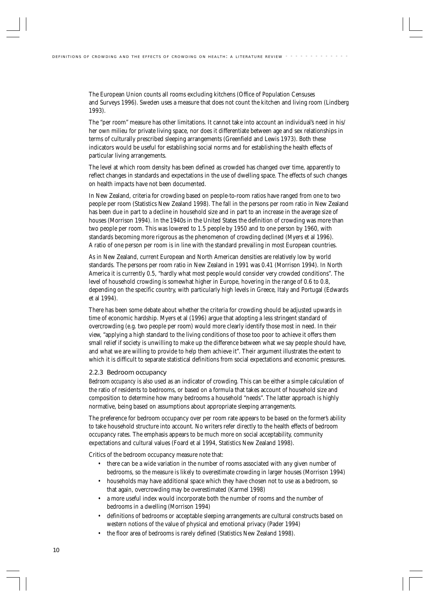The European Union counts all rooms excluding kitchens (Office of Population Censuses and Surveys 1996). Sweden uses a measure that does not count the kitchen and living room (Lindberg 1993).

The "per room" measure has other limitations. It cannot take into account an individual's need in his/ her own milieu for private living space, nor does it differentiate between age and sex relationships in terms of culturally prescribed sleeping arrangements (Greenfield and Lewis 1973). Both these indicators would be useful for establishing social norms and for establishing the health effects of particular living arrangements.

The level at which room density has been defined as crowded has changed over time, apparently to reflect changes in standards and expectations in the use of dwelling space. The effects of such changes on health impacts have not been documented.

In New Zealand, criteria for crowding based on people-to-room ratios have ranged from one to two people per room (Statistics New Zealand 1998). The fall in the persons per room ratio in New Zealand has been due in part to a decline in household size and in part to an increase in the average size of houses (Morrison 1994). In the 1940s in the United States the definition of crowding was more than two people per room. This was lowered to 1.5 people by 1950 and to one person by 1960, with standards becoming more rigorous as the phenomenon of crowding declined (Myers et al 1996). A ratio of one person per room is in line with the standard prevailing in most European countries.

As in New Zealand, current European and North American densities are relatively low by world standards. The persons per room ratio in New Zealand in 1991 was 0.41 (Morrison 1994). In North America it is currently 0.5, "hardly what most people would consider very crowded conditions". The level of household crowding is somewhat higher in Europe, hovering in the range of 0.6 to 0.8, depending on the specific country, with particularly high levels in Greece, Italy and Portugal (Edwards et al 1994).

There has been some debate about whether the criteria for crowding should be adjusted upwards in time of economic hardship. Myers et al (1996) argue that adopting a less stringent standard of overcrowding (e.g. two people per room) would more clearly identify those most in need. In their view, "applying a high standard to the living conditions of those too poor to achieve it offers them small relief if society is unwilling to make up the difference between what we say people should have, and what we are willing to provide to help them achieve it". Their argument illustrates the extent to which it is difficult to separate statistical definitions from social expectations and economic pressures.

#### 2.2.3 Bedroom occupancy

*Bedroom occupancy* is also used as an indicator of crowding. This can be either a simple calculation of the ratio of residents to bedrooms, or based on a formula that takes account of household size and composition to determine how many bedrooms a household "needs". The latter approach is highly normative, being based on assumptions about appropriate sleeping arrangements.

The preference for bedroom occupancy over per room rate appears to be based on the former's ability to take household structure into account. No writers refer directly to the health effects of bedroom occupancy rates. The emphasis appears to be much more on social acceptability, community expectations and cultural values (Foard et al 1994, Statistics New Zealand 1998).

Critics of the bedroom occupancy measure note that:

- there can be a wide variation in the number of rooms associated with any given number of bedrooms, so the measure is likely to overestimate crowding in larger houses (Morrison 1994)
- households may have additional space which they have chosen not to use as a bedroom, so that again, overcrowding may be overestimated (Karmel 1998)
- a more useful index would incorporate both the number of rooms and the number of bedrooms in a dwelling (Morrison 1994)
- definitions of bedrooms or acceptable sleeping arrangements are cultural constructs based on western notions of the value of physical and emotional privacy (Pader 1994)
- the floor area of bedrooms is rarely defined (Statistics New Zealand 1998).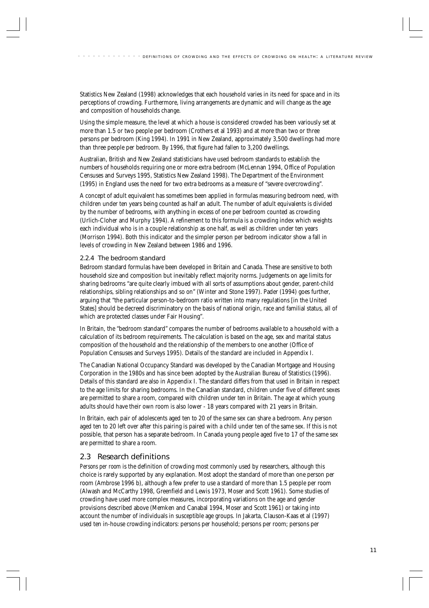Statistics New Zealand (1998) acknowledges that each household varies in its need for space and in its perceptions of crowding. Furthermore, living arrangements are dynamic and will change as the age and composition of households change.

Using the simple measure, the level at which a house is considered crowded has been variously set at more than 1.5 or two people per bedroom (Crothers et al 1993) and at more than two or three persons per bedroom (King 1994). In 1991 in New Zealand, approximately 3,500 dwellings had more than three people per bedroom. By 1996, that figure had fallen to 3,200 dwellings.

Australian, British and New Zealand statisticians have used bedroom standards to establish the numbers of households requiring one or more extra bedroom (McLennan 1994, Office of Population Censuses and Surveys 1995, Statistics New Zealand 1998). The Department of the Environment (1995) in England uses the need for two extra bedrooms as a measure of "severe overcrowding"*.*

A concept of adult equivalent has sometimes been applied in formulas measuring bedroom need, with children under ten years being counted as half an adult. The number of adult equivalents is divided by the number of bedrooms, with anything in excess of one per bedroom counted as crowding (Urlich-Cloher and Murphy 1994). A refinement to this formula is a crowding index which weights each individual who is in a couple relationship as one half, as well as children under ten years (Morrison 1994). Both this indicator and the simpler person per bedroom indicator show a fall in levels of crowding in New Zealand between 1986 and 1996.

## 2.2.4 The bedroom standard

Bedroom standard formulas have been developed in Britain and Canada. These are sensitive to both household size and composition but inevitably reflect majority norms. Judgements on age limits for sharing bedrooms "are quite clearly imbued with all sorts of assumptions about gender, parent-child relationships, sibling relationships and so on" (Winter and Stone 1997). Pader (1994) goes further, arguing that "the particular person-to-bedroom ratio written into many regulations [in the United States] should be decreed discriminatory on the basis of national origin, race and familial status, all of which are protected classes under Fair Housing".

In Britain, the "bedroom standard" compares the number of bedrooms available to a household with a calculation of its bedroom requirements. The calculation is based on the age, sex and marital status composition of the household and the relationship of the members to one another (Office of Population Censuses and Surveys 1995). Details of the standard are included in Appendix I.

The Canadian National Occupancy Standard was developed by the Canadian Mortgage and Housing Corporation in the 1980s and has since been adopted by the Australian Bureau of Statistics (1996). Details of this standard are also in Appendix I. The standard differs from that used in Britain in respect to the age limits for sharing bedrooms. In the Canadian standard, children under five of different sexes are permitted to share a room, compared with children under ten in Britain. The age at which young adults should have their own room is also lower - 18 years compared with 21 years in Britain.

In Britain, each pair of adolescents aged ten to 20 of the same sex can share a bedroom. Any person aged ten to 20 left over after this pairing is paired with a child under ten of the same sex. If this is not possible, that person has a separate bedroom. In Canada young people aged five to 17 of the same sex are permitted to share a room.

# 2.3 Research definitions

*Persons per room* is the definition of crowding most commonly used by researchers, although this choice is rarely supported by any explanation. Most adopt the standard of more than one person per room (Ambrose 1996 b), although a few prefer to use a standard of more than 1.5 people per room (Alwash and McCarthy 1998, Greenfield and Lewis 1973, Moser and Scott 1961). Some studies of crowding have used more complex measures, incorporating variations on the age and gender provisions described above (Memken and Canabal 1994, Moser and Scott 1961) or taking into account the number of individuals in susceptible age groups. In Jakarta, Clauson-Kaas et al (1997) used ten in-house crowding indicators: persons per household; persons per room; persons per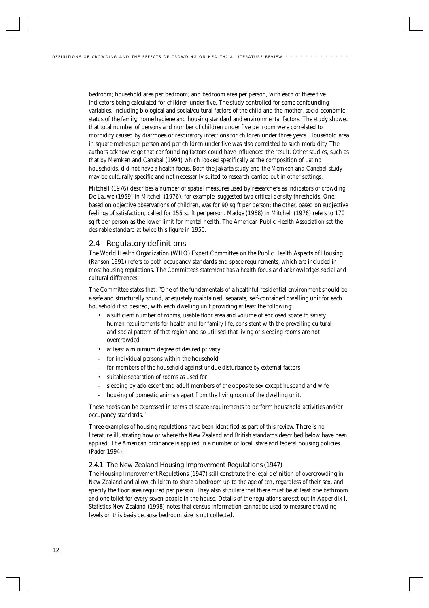bedroom; household area per bedroom; and bedroom area per person, with each of these five indicators being calculated for children under five. The study controlled for some confounding variables, including biological and social/cultural factors of the child and the mother, socio-economic status of the family, home hygiene and housing standard and environmental factors. The study showed that total number of persons and number of children under five per room were correlated to morbidity caused by diarrhoea or respiratory infections for children under three years. Household area in square metres per person and per children under five was also correlated to such morbidity. The authors acknowledge that confounding factors could have influenced the result. Other studies, such as that by Memken and Canabal (1994) which looked specifically at the composition of Latino households, did not have a health focus. Both the Jakarta study and the Memken and Canabal study may be culturally specific and not necessarily suited to research carried out in other settings.

Mitchell (1976) describes a number of spatial measures used by researchers as indicators of crowding. De Lauwe (1959) in Mitchell (1976), for example, suggested two critical density thresholds. One, based on objective observations of children, was for 90 sq ft per person; the other, based on subjective feelings of satisfaction, called for 155 sq ft per person. Madge (1968) in Mitchell (1976) refers to 170 sq ft per person as the lower limit for mental health. The American Public Health Association set the desirable standard at twice this figure in 1950.

# 2.4 Regulatory definitions

The World Health Organization (WHO) Expert Committee on the Public Health Aspects of Housing (Ranson 1991) refers to both occupancy standards and space requirements, which are included in most housing regulations. The Committee's statement has a health focus and acknowledges social and cultural differences.

The Committee states that: "One of the fundamentals of a healthful residential environment should be a safe and structurally sound, adequately maintained, separate, self-contained dwelling unit for each household if so desired, with each dwelling unit providing at least the following:

- a sufficient number of rooms, usable floor area and volume of enclosed space to satisfy human requirements for health and for family life, consistent with the prevailing cultural and social pattern of that region and so utilised that living or sleeping rooms are not overcrowded
- at least a minimum degree of desired privacy:
- for individual persons within the household
- for members of the household against undue disturbance by external factors
- suitable separation of rooms as used for:
- sleeping by adolescent and adult members of the opposite sex except husband and wife
- housing of domestic animals apart from the living room of the dwelling unit.

These needs can be expressed in terms of space requirements to perform household activities and/or occupancy standards."

Three examples of housing regulations have been identified as part of this review. There is no literature illustrating how or where the New Zealand and British standards described below have been applied. The American ordinance is applied in a number of local, state and federal housing policies (Pader 1994).

#### 2.4.1 The New Zealand Housing Improvement Regulations (1947)

The Housing Improvement Regulations (1947) still constitute the legal definition of overcrowding in New Zealand and allow children to share a bedroom up to the age of ten, regardless of their sex, and specify the floor area required per person. They also stipulate that there must be at least one bathroom and one toilet for every seven people in the house. Details of the regulations are set out in Appendix I. Statistics New Zealand (1998) notes that census information cannot be used to measure crowding levels on this basis because bedroom size is not collected.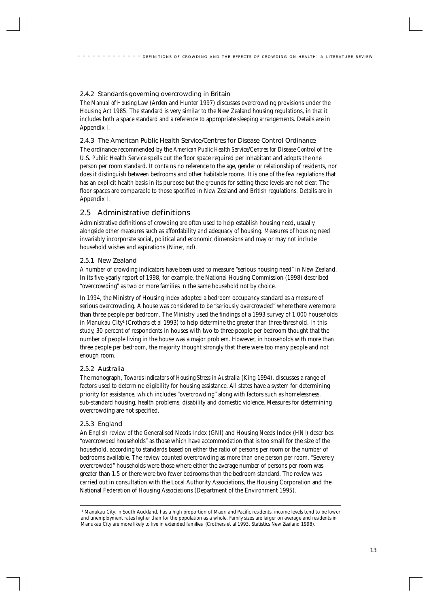## 2.4.2 Standards governing overcrowding in Britain

The *Manual of Housing Law* (Arden and Hunter 1997) discusses overcrowding provisions under the Housing Act 1985. The standard is very similar to the New Zealand housing regulations, in that it includes both a space standard and a reference to appropriate sleeping arrangements. Details are in Appendix I.

2.4.3 The American Public Health Service/Centres for Disease Control Ordinance The ordinance recommended by the *American Public Health Service/Centres for Disease Control* of the U.S. Public Health Service spells out the floor space required per inhabitant and adopts the one person per room standard. It contains no reference to the age, gender or relationship of residents, nor does it distinguish between bedrooms and other habitable rooms. It is one of the few regulations that has an explicit health basis in its purpose but the grounds for setting these levels are not clear. The floor spaces are comparable to those specified in New Zealand and British regulations. Details are in Appendix I.

# 2.5 Administrative definitions

Administrative definitions of crowding are often used to help establish housing need, usually alongside other measures such as affordability and adequacy of housing. Measures of housing need invariably incorporate social, political and economic dimensions and may or may not include household wishes and aspirations (Niner, nd).

## 2.5.1 New Zealand

A number of crowding indicators have been used to measure "serious housing need" in New Zealand. In its five-yearly report of 1998, for example, the National Housing Commission (1998) described "overcrowding" as two or more families in the same household not by choice.

In 1994, the Ministry of Housing index adopted a bedroom occupancy standard as a measure of serious overcrowding. A house was considered to be "seriously overcrowded" where there were more than three people per bedroom. The Ministry used the findings of a 1993 survey of 1,000 households in Manukau City<sup>1</sup> (Crothers et al 1993) to help determine the greater than three threshold. In this study, 30 percent of respondents in houses with two to three people per bedroom thought that the number of people living in the house was a major problem. However, in households with more than three people per bedroom, the majority thought strongly that there were too many people and not enough room.

## 2.5.2 Australia

The monograph, *Towards Indicators of Housing Stress in Australia* (King 1994), discusses a range of factors used to determine eligibility for housing assistance. All states have a system for determining priority for assistance, which includes "overcrowding" along with factors such as homelessness, sub-standard housing, health problems, disability and domestic violence. Measures for determining overcrowding are not specified.

## 2.5.3 England

An English review of the Generalised Needs Index (GNI) and Housing Needs Index (HNI) describes "overcrowded households" as those which have accommodation that is too small for the size of the household, according to standards based on either the ratio of persons per room or the number of bedrooms available. The review counted overcrowding as more than one person per room. "Severely overcrowded" households were those where either the average number of persons per room was greater than 1.5 or there were two fewer bedrooms than the bedroom standard. The review was carried out in consultation with the Local Authority Associations, the Housing Corporation and the National Federation of Housing Associations (Department of the Environment 1995).

<sup>&</sup>lt;sup>1</sup> Manukau City, in South Auckland, has a high proportion of Maori and Pacific residents, income levels tend to be lower and unemployment rates higher than for the population as a whole. Family sizes are larger on average and residents in Manukau City are more likely to live in extended families (Crothers et al 1993, Statistics New Zealand 1998).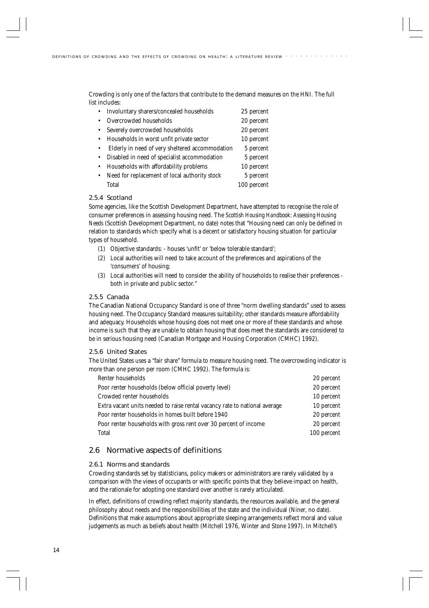Crowding is only one of the factors that contribute to the demand measures on the HNI. The full list includes:

|           | Involuntary sharers/concealed households        | 25 percent  |
|-----------|-------------------------------------------------|-------------|
|           | Overcrowded households                          | 20 percent  |
|           | Severely overcrowded households                 | 20 percent  |
|           | Households in worst unfit private sector        | 10 percent  |
|           | Elderly in need of very sheltered accommodation | 5 percent   |
| $\bullet$ | Disabled in need of specialist accommodation    | 5 percent   |
|           | Households with affordability problems          | 10 percent  |
| $\bullet$ | Need for replacement of local authority stock   | 5 percent   |
|           | Total                                           | 100 percent |
|           |                                                 |             |

## 2.5.4 Scotland

Some agencies, like the Scottish Development Department, have attempted to recognise the role of consumer preferences in assessing housing need. The *Scottish Housing Handbook: Assessing Housing Needs* (Scottish Development Department, no date) notes that "Housing need can only be defined in relation to standards which specify what is a decent or satisfactory housing situation for particular types of household.

- (1) Objective standards: houses 'unfit' or 'below tolerable standard';
- (2) Local authorities will need to take account of the preferences and aspirations of the 'consumers' of housing;
- (3) Local authorities will need to consider the ability of households to realise their preferences both in private and public sector."

### 2.5.5 Canada

The Canadian National Occupancy Standard is one of three "norm dwelling standards" used to assess housing need. The Occupancy Standard measures suitability; other standards measure affordability and adequacy. Households whose housing does not meet one or more of these standards and whose income is such that they are unable to obtain housing that does meet the standards are considered to be in serious housing need (Canadian Mortgage and Housing Corporation (CMHC) 1992).

#### 2.5.6 United States

The United States uses a "fair share" formula to measure housing need. The overcrowding indicator is more than one person per room (CMHC 1992). The formula is:

| Renter households                                                          | 20 percent  |
|----------------------------------------------------------------------------|-------------|
| Poor renter households (below official poverty level)                      | 20 percent  |
| Crowded renter households                                                  | 10 percent  |
| Extra vacant units needed to raise rental vacancy rate to national average | 10 percent  |
| Poor renter households in homes built before 1940                          | 20 percent  |
| Poor renter households with gross rent over 30 percent of income           | 20 percent  |
| Total                                                                      | 100 percent |

# 2.6 Normative aspects of definitions

## 2.6.1 Norms and standards

Crowding standards set by statisticians, policy makers or administrators are rarely validated by a comparison with the views of occupants or with specific points that they believe impact on health, and the rationale for adopting one standard over another is rarely articulated.

In effect, definitions of crowding reflect majority standards, the resources available, and the general philosophy about needs and the responsibilities of the state and the individual (Niner, no date). Definitions that make assumptions about appropriate sleeping arrangements reflect moral and value judgements as much as beliefs about health (Mitchell 1976, Winter and Stone 1997). In Mitchell's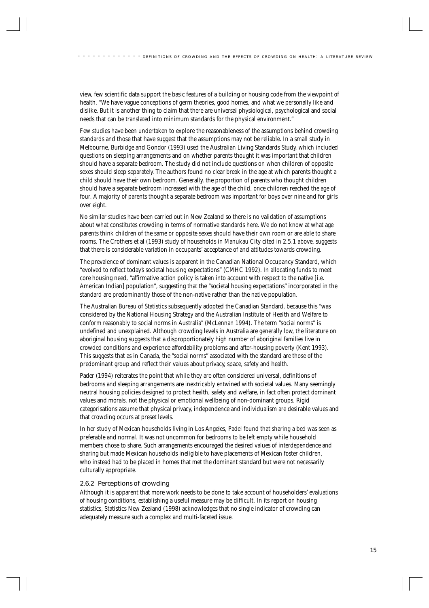view, few scientific data support the basic features of a building or housing code from the viewpoint of health. "We have vague conceptions of germ theories, good homes, and what we personally like and dislike. But it is another thing to claim that there are universal physiological, psychological and social needs that can be translated into minimum standards for the physical environment."

Few studies have been undertaken to explore the reasonableness of the assumptions behind crowding standards and those that have suggest that the assumptions may not be reliable. In a small study in Melbourne, Burbidge and Gondor (1993) used the Australian Living Standards Study, which included questions on sleeping arrangements and on whether parents thought it was important that children should have a separate bedroom. The study did not include questions on when children of opposite sexes should sleep separately. The authors found no clear break in the age at which parents thought a child should have their own bedroom. Generally, the proportion of parents who thought children should have a separate bedroom increased with the age of the child, once children reached the age of four. A majority of parents thought a separate bedroom was important for boys over nine and for girls over eight.

No similar studies have been carried out in New Zealand so there is no validation of assumptions about what constitutes crowding in terms of normative standards here. We do not know at what age parents think children of the same or opposite sexes should have their own room or are able to share rooms. The Crothers et al (1993) study of households in Manukau City cited in 2.5.1 above, suggests that there is considerable variation in occupants' acceptance of and attitudes towards crowding.

The prevalence of dominant values is apparent in the Canadian National Occupancy Standard, which "evolved to reflect today's societal housing expectations" (CMHC 1992). In allocating funds to meet core housing need, "affirmative action policy is taken into account with respect to the native [i.e. American Indian] population", suggesting that the "societal housing expectations" incorporated in the standard are predominantly those of the non-native rather than the native population.

The Australian Bureau of Statistics subsequently adopted the Canadian Standard, because this "was considered by the National Housing Strategy and the Australian Institute of Health and Welfare to conform reasonably to social norms in Australia" (McLennan 1994). The term "social norms" is undefined and unexplained. Although crowding levels in Australia are generally low, the literature on aboriginal housing suggests that a disproportionately high number of aboriginal families live in crowded conditions and experience affordability problems and after-housing poverty (Kent 1993). This suggests that as in Canada, the "social norms" associated with the standard are those of the predominant group and reflect their values about privacy, space, safety and health.

Pader (1994) reiterates the point that while they are often considered universal, definitions of bedrooms and sleeping arrangements are inextricably entwined with societal values. Many seemingly neutral housing policies designed to protect health, safety and welfare, in fact often protect dominant values and morals, not the physical or emotional wellbeing of non-dominant groups. Rigid categorisations assume that physical privacy, independence and individualism are desirable values and that crowding occurs at preset levels.

In her study of Mexican households living in Los Angeles, Padel found that sharing a bed was seen as preferable and normal. It was not uncommon for bedrooms to be left empty while household members chose to share. Such arrangements encouraged the desired values of interdependence and sharing but made Mexican households ineligible to have placements of Mexican foster children, who instead had to be placed in homes that met the dominant standard but were not necessarily culturally appropriate.

#### 2.6.2 Perceptions of crowding

Although it is apparent that more work needs to be done to take account of householders' evaluations of housing conditions, establishing a useful measure may be difficult. In its report on housing statistics, Statistics New Zealand (1998) acknowledges that no single indicator of crowding can adequately measure such a complex and multi-faceted issue.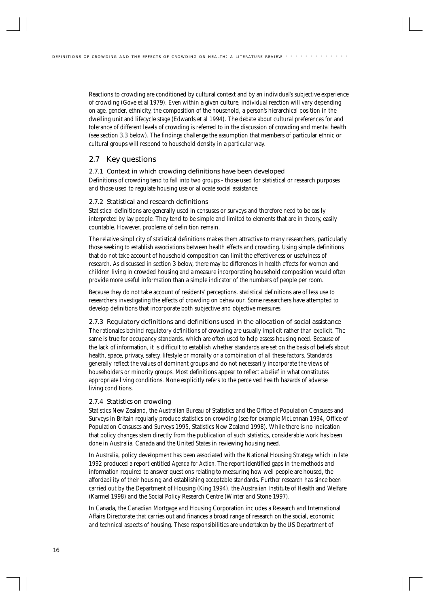Reactions to crowding are conditioned by cultural context and by an individual's subjective experience of crowding (Gove et al 1979). Even within a given culture, individual reaction will vary depending on age, gender, ethnicity, the composition of the household, a person's hierarchical position in the dwelling unit and lifecycle stage (Edwards et al 1994). The debate about cultural preferences for and tolerance of different levels of crowding is referred to in the discussion of crowding and mental health (see section 3.3 below). The findings challenge the assumption that members of particular ethnic or cultural groups will respond to household density in a particular way.

# 2.7 Key questions

### 2.7.1 Context in which crowding definitions have been developed

Definitions of crowding tend to fall into two groups - those used for statistical or research purposes and those used to regulate housing use or allocate social assistance.

## 2.7.2 Statistical and research definitions

Statistical definitions are generally used in censuses or surveys and therefore need to be easily interpreted by lay people. They tend to be simple and limited to elements that are in theory, easily countable. However, problems of definition remain.

The relative simplicity of statistical definitions makes them attractive to many researchers, particularly those seeking to establish associations between health effects and crowding. Using simple definitions that do not take account of household composition can limit the effectiveness or usefulness of research. As discussed in section 3 below, there may be differences in health effects for women and children living in crowded housing and a measure incorporating household composition would often provide more useful information than a simple indicator of the numbers of people per room.

Because they do not take account of residents' perceptions, statistical definitions are of less use to researchers investigating the effects of crowding on behaviour. Some researchers have attempted to develop definitions that incorporate both subjective and objective measures.

2.7.3 Regulatory definitions and definitions used in the allocation of social assistance The rationales behind regulatory definitions of crowding are usually implicit rather than explicit. The same is true for occupancy standards, which are often used to help assess housing need. Because of the lack of information, it is difficult to establish whether standards are set on the basis of beliefs about health, space, privacy, safety, lifestyle or morality or a combination of all these factors. Standards generally reflect the values of dominant groups and do not necessarily incorporate the views of householders or minority groups. Most definitions appear to reflect a belief in what constitutes appropriate living conditions. None explicitly refers to the perceived health hazards of adverse living conditions.

## 2.7.4 Statistics on crowding

Statistics New Zealand, the Australian Bureau of Statistics and the Office of Population Censuses and Surveys in Britain regularly produce statistics on crowding (see for example McLennan 1994, Office of Population Censuses and Surveys 1995, Statistics New Zealand 1998). While there is no indication that policy changes stem directly from the publication of such statistics, considerable work has been done in Australia, Canada and the United States in reviewing housing need.

In Australia, policy development has been associated with the National Housing Strategy which in late 1992 produced a report entitled *Agenda for Action.* The report identified gaps in the methods and information required to answer questions relating to measuring how well people are housed, the affordability of their housing and establishing acceptable standards. Further research has since been carried out by the Department of Housing (King 1994), the Australian Institute of Health and Welfare (Karmel 1998) and the Social Policy Research Centre (Winter and Stone 1997).

In Canada, the Canadian Mortgage and Housing Corporation includes a Research and International Affairs Directorate that carries out and finances a broad range of research on the social, economic and technical aspects of housing. These responsibilities are undertaken by the US Department of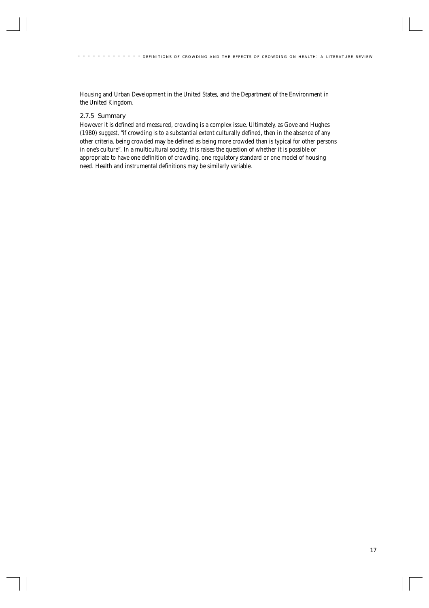Housing and Urban Development in the United States, and the Department of the Environment in the United Kingdom.

### 2.7.5 Summary

However it is defined and measured, crowding is a complex issue. Ultimately, as Gove and Hughes (1980) suggest, "if crowding is to a substantial extent culturally defined, then in the absence of any other criteria, being crowded may be defined as being more crowded than is typical for other persons in one's culture". In a multicultural society, this raises the question of whether it is possible or appropriate to have one definition of crowding, one regulatory standard or one model of housing need. Health and instrumental definitions may be similarly variable.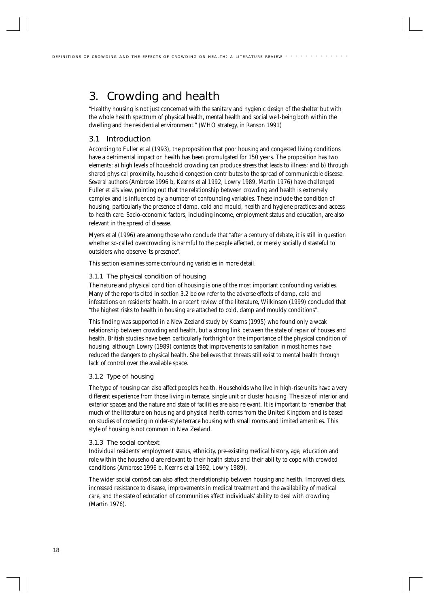# 3. Crowding and health

"Healthy housing is not just concerned with the sanitary and hygienic design of the shelter but with the whole health spectrum of physical health, mental health and social well-being both within the dwelling and the residential environment." (WHO strategy, in Ranson 1991)

# 3.1 Introduction

According to Fuller et al (1993), the proposition that poor housing and congested living conditions have a detrimental impact on health has been promulgated for 150 years. The proposition has two elements: a) high levels of household crowding can produce stress that leads to illness; and b) through shared physical proximity, household congestion contributes to the spread of communicable disease. Several authors (Ambrose 1996 b, Kearns et al 1992, Lowry 1989, Martin 1976) have challenged Fuller et al's view, pointing out that the relationship between crowding and health is extremely complex and is influenced by a number of confounding variables. These include the condition of housing, particularly the presence of damp, cold and mould, health and hygiene practices and access to health care. Socio-economic factors, including income, employment status and education, are also relevant in the spread of disease.

Myers et al (1996) are among those who conclude that "after a century of debate, it is still in question whether so-called overcrowding is harmful to the people affected, or merely socially distasteful to outsiders who observe its presence".

This section examines some confounding variables in more detail.

## 3.1.1 The physical condition of housing

The nature and physical condition of housing is one of the most important confounding variables. Many of the reports cited in section 3.2 below refer to the adverse effects of damp, cold and infestations on residents' health. In a recent review of the literature, Wilkinson (1999) concluded that "the highest risks to health in housing are attached to cold, damp and mouldy conditions".

This finding was supported in a New Zealand study by Kearns (1995) who found only a weak relationship between crowding and health, but a strong link between the state of repair of houses and health. British studies have been particularly forthright on the importance of the physical condition of housing, although Lowry (1989) contends that improvements to sanitation in most homes have reduced the dangers to physical health. She believes that threats still exist to mental health through lack of control over the available space.

## 3.1.2 Type of housing

The type of housing can also affect people's health. Households who live in high-rise units have a very different experience from those living in terrace, single unit or cluster housing. The size of interior and exterior spaces and the nature and state of facilities are also relevant. It is important to remember that much of the literature on housing and physical health comes from the United Kingdom and is based on studies of crowding in older-style terrace housing with small rooms and limited amenities. This style of housing is not common in New Zealand.

## 3.1.3 The social context

Individual residents' employment status, ethnicity, pre-existing medical history, age, education and role within the household are relevant to their health status and their ability to cope with crowded conditions (Ambrose 1996 b, Kearns et al 1992, Lowry 1989).

The wider social context can also affect the relationship between housing and health. Improved diets, increased resistance to disease, improvements in medical treatment and the availability of medical care, and the state of education of communities affect individuals' ability to deal with crowding (Martin 1976).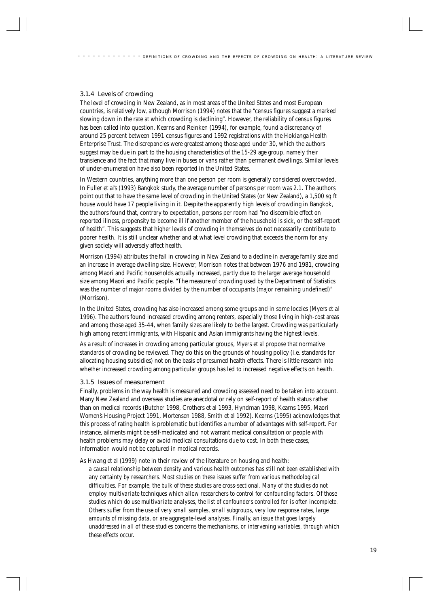## 3.1.4 Levels of crowding

The level of crowding in New Zealand, as in most areas of the United States and most European countries, is relatively low, although Morrison (1994) notes that the "census figures suggest a marked slowing down in the rate at which crowding is declining". However, the reliability of census figures has been called into question. Kearns and Reinken (1994), for example, found a discrepancy of around 25 percent between 1991 census figures and 1992 registrations with the Hokianga Health Enterprise Trust. The discrepancies were greatest among those aged under 30, which the authors suggest may be due in part to the housing characteristics of the 15-29 age group, namely their transience and the fact that many live in buses or vans rather than permanent dwellings. Similar levels of under-enumeration have also been reported in the United States.

In Western countries, anything more than one person per room is generally considered overcrowded. In Fuller et al's (1993) Bangkok study, the average number of persons per room was 2.1. The authors point out that to have the same level of crowding in the United States (or New Zealand), a 1,500 sq ft house would have 17 people living in it. Despite the apparently high levels of crowding in Bangkok, the authors found that, contrary to expectation, persons per room had "no discernible effect on reported illness, propensity to become ill if another member of the household is sick, or the self-report of health". This suggests that higher levels of crowding in themselves do not necessarily contribute to poorer health. It is still unclear whether and at what level crowding that exceeds the norm for any given society will adversely affect health.

Morrison (1994) attributes the fall in crowding in New Zealand to a decline in average family size and an increase in average dwelling size. However, Morrison notes that between 1976 and 1981, crowding among Maori and Pacific households actually increased, partly due to the larger average household size among Maori and Pacific people. "The measure of crowding used by the Department of Statistics was the number of major rooms divided by the number of occupants (major remaining undefined)" (Morrison).

In the United States, crowding has also increased among some groups and in some locales (Myers et al 1996). The authors found increased crowding among renters, especially those living in high-cost areas and among those aged 35-44, when family sizes are likely to be the largest. Crowding was particularly high among recent immigrants, with Hispanic and Asian immigrants having the highest levels.

As a result of increases in crowding among particular groups, Myers et al propose that normative standards of crowding be reviewed. They do this on the grounds of housing policy (i.e. standards for allocating housing subsidies) not on the basis of presumed health effects. There is little research into whether increased crowding among particular groups has led to increased negative effects on health.

#### 3.1.5 Issues of measurement

Finally, problems in the way health is measured and crowding assessed need to be taken into account. Many New Zealand and overseas studies are anecdotal or rely on self-report of health status rather than on medical records (Butcher 1998, Crothers et al 1993, Hyndman 1998, Kearns 1995, Maori Women's Housing Project 1991, Mortensen 1988, Smith et al 1992). Kearns (1995) acknowledges that this process of rating health is problematic but identifies a number of advantages with self-report. For instance, ailments might be self-medicated and not warrant medical consultation or people with health problems may delay or avoid medical consultations due to cost. In both these cases, information would not be captured in medical records.

As Hwang et al (1999) note in their review of the literature on housing and health:

*a causal relationship between density and various health outcomes has still not been established with any certainty by researchers. Most studies on these issues suffer from various methodological difficulties. For example, the bulk of these studies are cross-sectional. Many of the studies do not employ multivariate techniques which allow researchers to control for confounding factors. Of those studies which do use multivariate analyses, the list of confounders controlled for is often incomplete. Others suffer from the use of very small samples, small subgroups, very low response rates, large amounts of missing data, or are aggregate-level analyses. Finally, an issue that goes largely unaddressed in all of these studies concerns the mechanisms, or intervening variables, through which these effects occur.*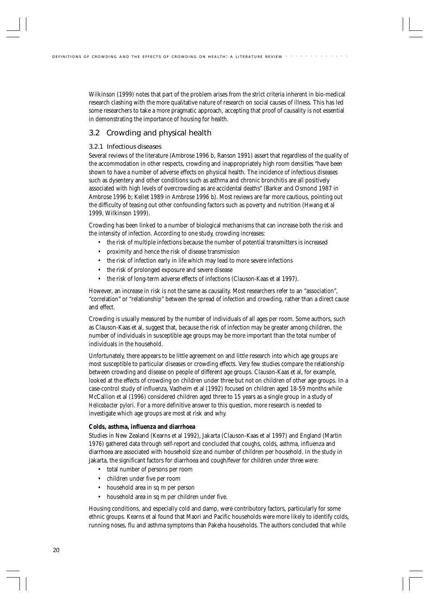Wilkinson (1999) notes that part of the problem arises from the strict criteria inherent in bio-medical research clashing with the more qualitative nature of research on social causes of illness. This has led some researchers to take a more pragmatic approach, accepting that proof of causality is not essential in demonstrating the importance of housing for health.

# 3.2 Crowding and physical health

### 3.2.1 Infectious diseases

Several reviews of the literature (Ambrose 1996 b, Ranson 1991) assert that regardless of the quality of the accommodation in other respects, crowding and inappropriately high room densities "have been shown to have a number of adverse effects on physical health. The incidence of infectious diseases such as dysentery and other conditions such as asthma and chronic bronchitis are all positively associated with high levels of overcrowding as are accidental deaths" (Barker and Osmond 1987 in Ambrose 1996 b; Kellet 1989 in Ambrose 1996 b). Most reviews are far more cautious, pointing out the difficulty of teasing out other confounding factors such as poverty and nutrition (Hwang et al 1999, Wilkinson 1999).

Crowding has been linked to a number of biological mechanisms that can increase both the risk and the intensity of infection. According to one study, crowding increases:

- the risk of multiple infections because the number of potential transmitters is increased
- proximity and hence the risk of disease transmission
- the risk of infection early in life which may lead to more severe infections
- the risk of prolonged exposure and severe disease
- the risk of long-term adverse effects of infections (Clauson-Kaas et al 1997).

However, an increase in risk is not the same as causality. Most researchers refer to an "association", "correlation" or "relationship" between the spread of infection and crowding, rather than a direct cause and effect.

Crowding is usually measured by the number of individuals of all ages per room. Some authors, such as Clauson-Kaas et al, suggest that, because the risk of infection may be greater among children, the number of individuals in susceptible age groups may be more important than the total number of individuals in the household.

Unfortunately, there appears to be little agreement on and little research into which age groups are most susceptible to particular diseases or crowding effects. Very few studies compare the relationship between crowding and disease on people of different age groups. Clauson-Kaas et al, for example, looked at the effects of crowding on children under three but not on children of other age groups. In a case-control study of influenza, Vadheim et al (1992) focused on children aged 18-59 months while McCallion et al (1996) considered children aged three to 15 years as a single group in a study of *Helicobacter pylori*. For a more definitive answer to this question, more research is needed to investigate which age groups are most at risk and why.

#### **Colds, asthma, influenza and diarrhoea**

Studies in New Zealand (Kearns et al 1992), Jakarta (Clauson-Kaas et al 1997) and England (Martin 1976) gathered data through self-report and concluded that coughs, colds, asthma, influenza and diarrhoea are associated with household size and number of children per household. In the study in Jakarta, the significant factors for diarrhoea and cough/fever for children under three were:

- total number of persons per room
- children under five per room
- household area in sq m per person
- household area in sq m per children under five.

Housing conditions, and especially cold and damp, were contributory factors, particularly for some ethnic groups. Kearns et al found that Maori and Pacific households were more likely to identify colds, running noses, flu and asthma symptoms than Pakeha households. The authors concluded that while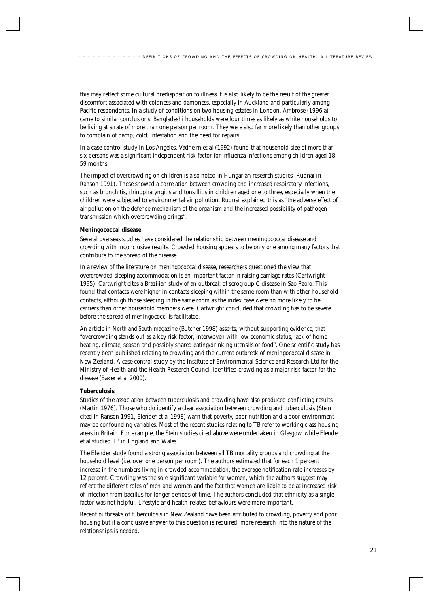this may reflect some cultural predisposition to illness it is also likely to be the result of the greater discomfort associated with coldness and dampness, especially in Auckland and particularly among Pacific respondents*.* In a study of conditions on two housing estates in London, Ambrose (1996 a) came to similar conclusions. Bangladeshi households were four times as likely as white households to be living at a rate of more than one person per room. They were also far more likely than other groups to complain of damp, cold, infestation and the need for repairs.

In a case-control study in Los Angeles, Vadheim et al (1992) found that household size of more than six persons was a significant independent risk factor for influenza infections among children aged 18- 59 months.

The impact of overcrowding on children is also noted in Hungarian research studies (Rudnai in Ranson 1991). These showed a correlation between crowding and increased respiratory infections, such as bronchitis, rhinopharyngitis and tonsillitis in children aged one to three, especially when the children were subjected to environmental air pollution. Rudnai explained this as "the adverse effect of air pollution on the defence mechanism of the organism and the increased possibility of pathogen transmission which overcrowding brings".

#### **Meningococcal disease**

Several overseas studies have considered the relationship between meningococcal disease and crowding with inconclusive results. Crowded housing appears to be only one among many factors that contribute to the spread of the disease.

In a review of the literature on meningococcal disease, researchers questioned the view that overcrowded sleeping accommodation is an important factor in raising carriage rates (Cartwright 1995). Cartwright cites a Brazilian study of an outbreak of serogroup C disease in Sao Paolo. This found that contacts were higher in contacts sleeping within the same room than with other household contacts, although those sleeping in the same room as the index case were no more likely to be carriers than other household members were. Cartwright concluded that crowding has to be severe before the spread of meningococci is facilitated.

An article in *North and South* magazine (Butcher 1998) asserts, without supporting evidence, that "overcrowding stands out as a key risk factor, interwoven with low economic status, lack of home heating, climate, season and possibly shared eating/drinking utensils or food". One scientific study has recently been published relating to crowding and the current outbreak of meningococcal disease in New Zealand. A case control study by the Institute of Environmental Science and Research Ltd for the Ministry of Health and the Health Research Council identified crowding as a major risk factor for the disease (Baker et al 2000).

#### **Tuberculosis**

Studies of the association between tuberculosis and crowding have also produced conflicting results (Martin 1976). Those who do identify a clear association between crowding and tuberculosis (Stein cited in Ranson 1991, Elender et al 1998) warn that poverty, poor nutrition and a poor environment may be confounding variables. Most of the recent studies relating to TB refer to working class housing areas in Britain. For example, the Stein studies cited above were undertaken in Glasgow, while Elender et al studied TB in England and Wales.

The Elender study found a strong association between all TB mortality groups and crowding at the household level (i.e. over one person per room). The authors estimated that for each 1 percent increase in the numbers living in crowded accommodation, the average notification rate increases by 12 percent. Crowding was the sole significant variable for women, which the authors suggest may reflect the different roles of men and women and the fact that women are liable to be at increased risk of infection from bacillus for longer periods of time. The authors concluded that ethnicity as a single factor was not helpful. Lifestyle and health-related behaviours were more important.

Recent outbreaks of tuberculosis in New Zealand have been attributed to crowding, poverty and poor housing but if a conclusive answer to this question is required, more research into the nature of the relationships is needed.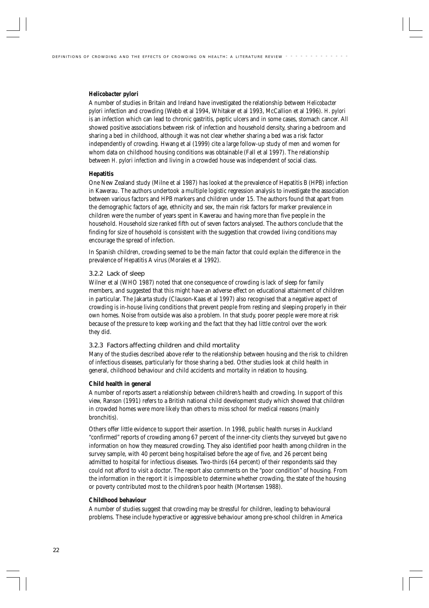#### *Helicobacter pylori*

A number of studies in Britain and Ireland have investigated the relationship between *Helicobacter pylori* infection and crowding (Webb et al 1994, Whitaker et al 1993, McCallion et al 1996). *H. pylori* is an infection which can lead to chronic gastritis, peptic ulcers and in some cases, stomach cancer. All showed positive associations between risk of infection and household density, sharing a bedroom and sharing a bed in childhood, although it was not clear whether sharing a bed was a risk factor independently of crowding. Hwang et al (1999) cite a large follow-up study of men and women for whom data on childhood housing conditions was obtainable (Fall et al 1997). The relationship between *H. pylori* infection and living in a crowded house was independent of social class.

#### **Hepatitis**

One New Zealand study (Milne et al 1987) has looked at the prevalence of Hepatitis B (HPB) infection in Kawerau. The authors undertook a multiple logistic regression analysis to investigate the association between various factors and HPB markers and children under 15. The authors found that apart from the demographic factors of age, ethnicity and sex, the main risk factors for marker prevalence in children were the number of years spent in Kawerau and having more than five people in the household. Household size ranked fifth out of seven factors analysed. The authors conclude that the finding for size of household is consistent with the suggestion that crowded living conditions may encourage the spread of infection.

In Spanish children, crowding seemed to be the main factor that could explain the difference in the prevalence of Hepatitis A virus (Morales et al 1992).

#### 3.2.2 Lack of sleep

Wilner et al (WHO 1987) noted that one consequence of crowding is lack of sleep for family members, and suggested that this might have an adverse effect on educational attainment of children in particular. The Jakarta study (Clauson-Kaas et al 1997) also recognised that a negative aspect of crowding is in-house living conditions that prevent people from resting and sleeping properly in their own homes. Noise from outside was also a problem. In that study, poorer people were more at risk because of the pressure to keep working and the fact that they had little control over the work they did.

#### 3.2.3 Factors affecting children and child mortality

Many of the studies described above refer to the relationship between housing and the risk to children of infectious diseases, particularly for those sharing a bed. Other studies look at child health in general, childhood behaviour and child accidents and mortality in relation to housing.

#### **Child health in general**

A number of reports assert a relationship between children's health and crowding. In support of this view, Ranson (1991) refers to a British national child development study which showed that children in crowded homes were more likely than others to miss school for medical reasons (mainly bronchitis).

Others offer little evidence to support their assertion. In 1998, public health nurses in Auckland "confirmed" reports of crowding among 67 percent of the inner-city clients they surveyed but gave no information on how they measured crowding. They also identified poor health among children in the survey sample, with 40 percent being hospitalised before the age of five, and 26 percent being admitted to hospital for infectious diseases. Two-thirds (64 percent) of their respondents said they could not afford to visit a doctor. The report also comments on the "poor condition" of housing. From the information in the report it is impossible to determine whether crowding, the state of the housing or poverty contributed most to the children's poor health (Mortensen 1988).

#### **Childhood behaviour**

A number of studies suggest that crowding may be stressful for children, leading to behavioural problems. These include hyperactive or aggressive behaviour among pre-school children in America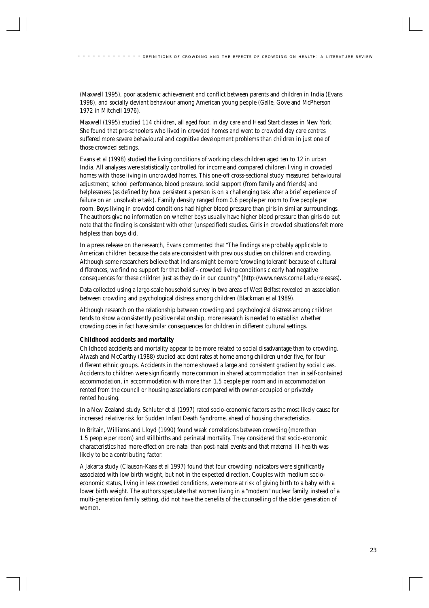(Maxwell 1995), poor academic achievement and conflict between parents and children in India (Evans 1998), and socially deviant behaviour among American young people (Galle, Gove and McPherson 1972 in Mitchell 1976).

Maxwell (1995) studied 114 children, all aged four, in day care and Head Start classes in New York. She found that pre-schoolers who lived in crowded homes and went to crowded day care centres suffered more severe behavioural and cognitive development problems than children in just one of those crowded settings.

Evans et al (1998) studied the living conditions of working class children aged ten to 12 in urban India. All analyses were statistically controlled for income and compared children living in crowded homes with those living in uncrowded homes. This one-off cross-sectional study measured behavioural adjustment, school performance, blood pressure, social support (from family and friends) and helplessness (as defined by how persistent a person is on a challenging task after a brief experience of failure on an unsolvable task). Family density ranged from 0.6 people per room to five people per room. Boys living in crowded conditions had higher blood pressure than girls in similar surroundings. The authors give no information on whether boys usually have higher blood pressure than girls do but note that the finding is consistent with other (unspecified) studies. Girls in crowded situations felt more helpless than boys did.

In a press release on the research, Evans commented that "The findings are probably applicable to American children because the data are consistent with previous studies on children and crowding. Although some researchers believe that Indians might be more 'crowding tolerant' because of cultural differences, we find no support for that belief - crowded living conditions clearly had negative consequences for these children just as they do in our country" (http://www.news.cornell.edu/releases).

Data collected using a large-scale household survey in two areas of West Belfast revealed an association between crowding and psychological distress among children (Blackman et al 1989).

Although research on the relationship between crowding and psychological distress among children tends to show a consistently positive relationship, more research is needed to establish whether crowding does in fact have similar consequences for children in different cultural settings.

#### **Childhood accidents and mortality**

Childhood accidents and mortality appear to be more related to social disadvantage than to crowding. Alwash and McCarthy (1988) studied accident rates at home among children under five, for four different ethnic groups. Accidents in the home showed a large and consistent gradient by social class. Accidents to children were significantly more common in shared accommodation than in self-contained accommodation, in accommodation with more than 1.5 people per room and in accommodation rented from the council or housing associations compared with owner-occupied or privately rented housing.

In a New Zealand study, Schluter et al (1997) rated socio-economic factors as the most likely cause for increased relative risk for Sudden Infant Death Syndrome, ahead of housing characteristics.

In Britain, Williams and Lloyd (1990) found weak correlations between crowding (more than 1.5 people per room) and stillbirths and perinatal mortality. They considered that socio-economic characteristics had more effect on pre-natal than post-natal events and that maternal ill-health was likely to be a contributing factor.

A Jakarta study (Clauson-Kaas et al 1997) found that four crowding indicators were significantly associated with low birth weight, but not in the expected direction. Couples with medium socioeconomic status, living in less crowded conditions, were more at risk of giving birth to a baby with a lower birth weight. The authors speculate that women living in a "modern" nuclear family, instead of a multi-generation family setting, did not have the benefits of the counselling of the older generation of women.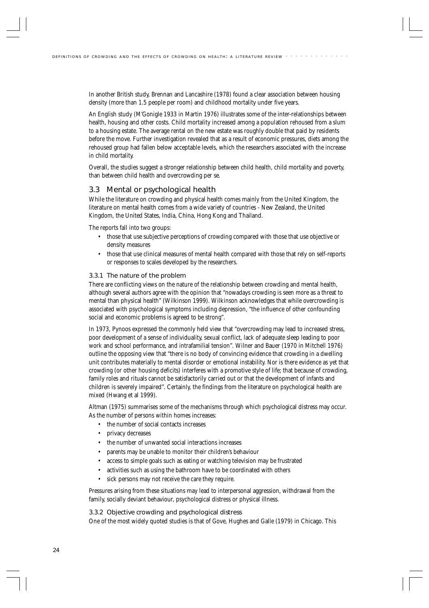In another British study, Brennan and Lancashire (1978) found a clear association between housing density (more than 1.5 people per room) and childhood mortality under five years.

An English study (M'Gonigle 1933 in Martin 1976) illustrates some of the inter-relationships between health, housing and other costs. Child mortality increased among a population rehoused from a slum to a housing estate. The average rental on the new estate was roughly double that paid by residents before the move. Further investigation revealed that as a result of economic pressures, diets among the rehoused group had fallen below acceptable levels, which the researchers associated with the increase in child mortality.

Overall, the studies suggest a stronger relationship between child health, child mortality and poverty, than between child health and overcrowding per se.

# 3.3 Mental or psychological health

While the literature on crowding and physical health comes mainly from the United Kingdom, the literature on mental health comes from a wide variety of countries - New Zealand, the United Kingdom, the United States, India, China, Hong Kong and Thailand.

The reports fall into two groups:

- those that use subjective perceptions of crowding compared with those that use objective or density measures
- those that use clinical measures of mental health compared with those that rely on self-reports or responses to scales developed by the researchers.

#### 3.3.1 The nature of the problem

There are conflicting views on the nature of the relationship between crowding and mental health, although several authors agree with the opinion that "nowadays crowding is seen more as a threat to mental than physical health" (Wilkinson 1999). Wilkinson acknowledges that while overcrowding is associated with psychological symptoms including depression, "the influence of other confounding social and economic problems is agreed to be strong".

In 1973, Pynoos expressed the commonly held view that "overcrowding may lead to increased stress, poor development of a sense of individuality, sexual conflict, lack of adequate sleep leading to poor work and school performance, and intrafamilial tension". Wilner and Bauer (1970 in Mitchell 1976) outline the opposing view that "there is no body of convincing evidence that crowding in a dwelling unit contributes materially to mental disorder or emotional instability. Nor is there evidence as yet that crowding (or other housing deficits) interferes with a promotive style of life; that because of crowding, family roles and rituals cannot be satisfactorily carried out or that the development of infants and children is severely impaired". Certainly, the findings from the literature on psychological health are mixed (Hwang et al 1999).

Altman (1975) summarises some of the mechanisms through which psychological distress may occur. As the number of persons within homes increases:

- the number of social contacts increases
- privacy decreases
- the number of unwanted social interactions increases
- parents may be unable to monitor their children's behaviour
- access to simple goals such as eating or watching television may be frustrated
- activities such as using the bathroom have to be coordinated with others
- sick persons may not receive the care they require.

Pressures arising from these situations may lead to interpersonal aggression, withdrawal from the family, socially deviant behaviour, psychological distress or physical illness.

#### 3.3.2 Objective crowding and psychological distress

One of the most widely quoted studies is that of Gove, Hughes and Galle (1979) in Chicago. This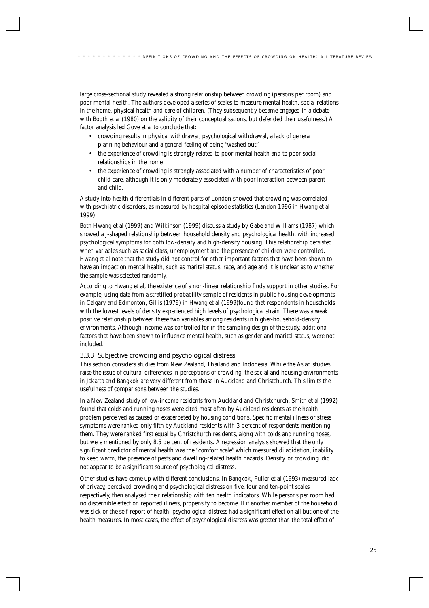large cross-sectional study revealed a strong relationship between crowding (persons per room) and poor mental health. The authors developed a series of scales to measure mental health, social relations in the home, physical health and care of children. (They subsequently became engaged in a debate with Booth et al (1980) on the validity of their conceptualisations, but defended their usefulness.) A factor analysis led Gove et al to conclude that:

- crowding results in physical withdrawal, psychological withdrawal, a lack of general planning behaviour and a general feeling of being "washed out"
- the experience of crowding is strongly related to poor mental health and to poor social relationships in the home
- the experience of crowding is strongly associated with a number of characteristics of poor child care, although it is only moderately associated with poor interaction between parent and child.

A study into health differentials in different parts of London showed that crowding was correlated with psychiatric disorders, as measured by hospital episode statistics (Landon 1996 in Hwang et al 1999).

Both Hwang et al (1999) and Wilkinson (1999) discuss a study by Gabe and Williams (1987) which showed a J-shaped relationship between household density and psychological health, with increased psychological symptoms for both low-density and high-density housing. This relationship persisted when variables such as social class, unemployment and the presence of children were controlled. Hwang et al note that the study did not control for other important factors that have been shown to have an impact on mental health, such as marital status, race, and age and it is unclear as to whether the sample was selected randomly.

According to Hwang et al, the existence of a non-linear relationship finds support in other studies. For example, using data from a stratified probability sample of residents in public housing developments in Calgary and Edmonton, Gillis (1979) in Hwang et al (1999)found that respondents in households with the lowest levels of density experienced high levels of psychological strain. There was a weak positive relationship between these two variables among residents in higher-household-density environments. Although income was controlled for in the sampling design of the study, additional factors that have been shown to influence mental health, such as gender and marital status, were not included.

## 3.3.3 Subjective crowding and psychological distress

This section considers studies from New Zealand, Thailand and Indonesia. While the Asian studies raise the issue of cultural differences in perceptions of crowding, the social and housing environments in Jakarta and Bangkok are very different from those in Auckland and Christchurch. This limits the usefulness of comparisons between the studies.

In a New Zealand study of low-income residents from Auckland and Christchurch, Smith et al (1992) found that colds and running noses were cited most often by Auckland residents as the health problem perceived as caused or exacerbated by housing conditions. Specific mental illness or stress symptoms were ranked only fifth by Auckland residents with 3 percent of respondents mentioning them. They were ranked first equal by Christchurch residents, along with colds and running noses, but were mentioned by only 8.5 percent of residents. A regression analysis showed that the only significant predictor of mental health was the "comfort scale" which measured dilapidation, inability to keep warm, the presence of pests and dwelling-related health hazards. Density, or crowding, did not appear to be a significant source of psychological distress.

Other studies have come up with different conclusions. In Bangkok, Fuller et al (1993) measured lack of privacy, perceived crowding and psychological distress on five, four and ten-point scales respectively, then analysed their relationship with ten health indicators. While persons per room had no discernible effect on reported illness, propensity to become ill if another member of the household was sick or the self-report of health, psychological distress had a significant effect on all but one of the health measures. In most cases, the effect of psychological distress was greater than the total effect of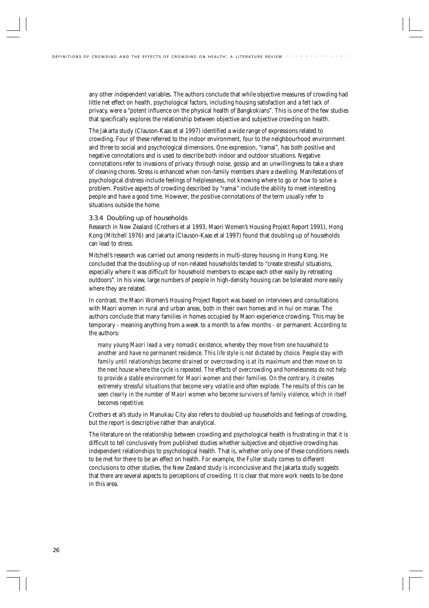any other independent variables. The authors conclude that while objective measures of crowding had little net effect on health, psychological factors, including housing satisfaction and a felt lack of privacy, were a "potent influence on the physical health of Bangkokians". This is one of the few studies that specifically explores the relationship between objective and subjective crowding on health.

The Jakarta study (Clauson-Kaas et al 1997) identified a wide range of expressions related to crowding. Four of these referred to the indoor environment, four to the neighbourhood environment and three to social and psychological dimensions. One expression, "ramai", has both positive and negative connotations and is used to describe both indoor and outdoor situations. Negative connotations refer to invasions of privacy through noise, gossip and an unwillingness to take a share of cleaning chores. Stress is enhanced when non-family members share a dwelling. Manifestations of psychological distress include feelings of helplessness, not knowing where to go or how to solve a problem. Positive aspects of crowding described by "ramai" include the ability to meet interesting people and have a good time. However, the positive connotations of the term usually refer to situations outside the home.

#### 3.3.4 Doubling up of households

Research in New Zealand (Crothers et al 1993, Maori Women's Housing Project Report 1991), Hong Kong (Mitchell 1976) and Jakarta (Clauson-Kaas et al 1997) found that doubling up of households can lead to stress.

Mitchell's research was carried out among residents in multi-storey housing in Hong Kong. He concluded that the doubling-up of non-related households tended to "create stressful situations, especially where it was difficult for household members to escape each other easily by retreating outdoors". In his view, large numbers of people in high-density housing can be tolerated more easily where they are related.

In contrast, the Maori Women's Housing Project Report was based on interviews and consultations with Maori women in rural and urban areas, both in their own homes and in hui on marae. The authors conclude that many families in homes occupied by Maori experience crowding. This may be temporary - meaning anything from a week to a month to a few months - or permanent. According to the authors:

*many young Maori lead a very nomadic existence, whereby they move from one household to another and have no permanent residence. This life style is not dictated by choice. People stay with family until relationships become strained or overcrowding is at its maximum and then move on to the next house where the cycle is repeated. The effects of overcrowding and homelessness do not help to provide a stable environment for Maori women and their families. On the contrary, it creates extremely stressful situations that become very volatile and often explode. The results of this can be seen clearly in the number of Maori women who become survivors of family violence, which in itself becomes repetitive.*

Crothers et al's study in Manukau City also refers to doubled-up households and feelings of crowding, but the report is descriptive rather than analytical.

The literature on the relationship between crowding and psychological health is frustrating in that it is difficult to tell conclusively from published studies whether subjective and objective crowding has independent relationships to psychological health. That is, whether only one of these conditions needs to be met for there to be an effect on health. For example, the Fuller study comes to different conclusions to other studies, the New Zealand study is inconclusive and the Jakarta study suggests that there are several aspects to perceptions of crowding. It is clear that more work needs to be done in this area.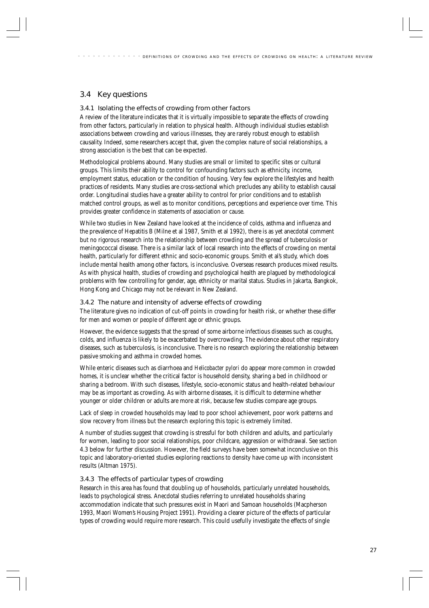# 3.4 Key questions

## 3.4.1 Isolating the effects of crowding from other factors

A review of the literature indicates that it is virtually impossible to separate the effects of crowding from other factors, particularly in relation to physical health. Although individual studies establish associations between crowding and various illnesses, they are rarely robust enough to establish causality. Indeed, some researchers accept that, given the complex nature of social relationships, a strong association is the best that can be expected.

Methodological problems abound. Many studies are small or limited to specific sites or cultural groups. This limits their ability to control for confounding factors such as ethnicity, income, employment status, education or the condition of housing. Very few explore the lifestyles and health practices of residents. Many studies are cross-sectional which precludes any ability to establish causal order. Longitudinal studies have a greater ability to control for prior conditions and to establish matched control groups, as well as to monitor conditions, perceptions and experience over time. This provides greater confidence in statements of association or cause.

While two studies in New Zealand have looked at the incidence of colds, asthma and influenza and the prevalence of Hepatitis B (Milne et al 1987, Smith et al 1992), there is as yet anecdotal comment but no rigorous research into the relationship between crowding and the spread of tuberculosis or meningococcal disease. There is a similar lack of local research into the effects of crowding on mental health, particularly for different ethnic and socio-economic groups. Smith et al's study, which does include mental health among other factors, is inconclusive. Overseas research produces mixed results. As with physical health, studies of crowding and psychological health are plagued by methodological problems with few controlling for gender, age, ethnicity or marital status. Studies in Jakarta, Bangkok, Hong Kong and Chicago may not be relevant in New Zealand.

## 3.4.2 The nature and intensity of adverse effects of crowding

The literature gives no indication of cut-off points in crowding for health risk, or whether these differ for men and women or people of different age or ethnic groups.

However, the evidence suggests that the spread of some airborne infectious diseases such as coughs, colds, and influenza is likely to be exacerbated by overcrowding. The evidence about other respiratory diseases, such as tuberculosis, is inconclusive. There is no research exploring the relationship between passive smoking and asthma in crowded homes.

While enteric diseases such as diarrhoea and *Helicobacter pylori* do appear more common in crowded homes, it is unclear whether the critical factor is household density, sharing a bed in childhood or sharing a bedroom. With such diseases, lifestyle, socio-economic status and health-related behaviour may be as important as crowding. As with airborne diseases, it is difficult to determine whether younger or older children or adults are more at risk, because few studies compare age groups.

Lack of sleep in crowded households may lead to poor school achievement, poor work patterns and slow recovery from illness but the research exploring this topic is extremely limited.

A number of studies suggest that crowding is stressful for both children and adults, and particularly for women, leading to poor social relationships, poor childcare, aggression or withdrawal. See section 4.3 below for further discussion. However, the field surveys have been somewhat inconclusive on this topic and laboratory-oriented studies exploring reactions to density have come up with inconsistent results (Altman 1975).

## 3.4.3 The effects of particular types of crowding

Research in this area has found that doubling up of households, particularly unrelated households, leads to psychological stress. Anecdotal studies referring to unrelated households sharing accommodation indicate that such pressures exist in Maori and Samoan households (Macpherson 1993, Maori Women's Housing Project 1991). Providing a clearer picture of the effects of particular types of crowding would require more research. This could usefully investigate the effects of single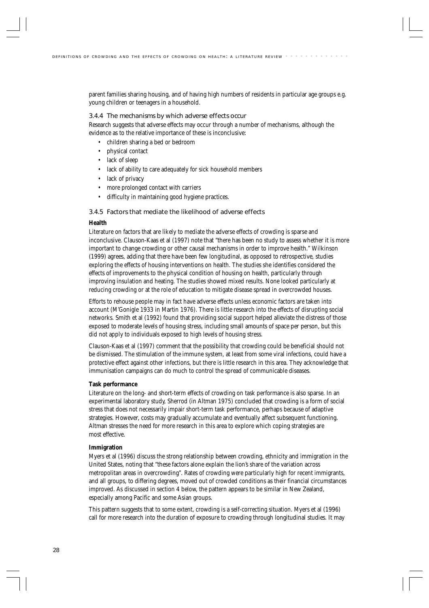parent families sharing housing, and of having high numbers of residents in particular age groups e.g. young children or teenagers in a household.

#### 3.4.4 The mechanisms by which adverse effects occur

Research suggests that adverse effects may occur through a number of mechanisms, although the evidence as to the relative importance of these is inconclusive:

- children sharing a bed or bedroom
- physical contact
- lack of sleep
- lack of ability to care adequately for sick household members
- lack of privacy
- more prolonged contact with carriers
- difficulty in maintaining good hygiene practices.

#### 3.4.5 Factors that mediate the likelihood of adverse effects

#### **Health**

Literature on factors that are likely to mediate the adverse effects of crowding is sparse and inconclusive. Clauson-Kaas et al (1997) note that "there has been no study to assess whether it is more important to change crowding or other causal mechanisms in order to improve health." Wilkinson (1999) agrees, adding that there have been few longitudinal, as opposed to retrospective, studies exploring the effects of housing interventions on health. The studies she identifies considered the effects of improvements to the physical condition of housing on health, particularly through improving insulation and heating. The studies showed mixed results. None looked particularly at reducing crowding or at the role of education to mitigate disease spread in overcrowded houses.

Efforts to rehouse people may in fact have adverse effects unless economic factors are taken into account (M'Gonigle 1933 in Martin 1976). There is little research into the effects of disrupting social networks. Smith et al (1992) found that providing social support helped alleviate the distress of those exposed to moderate levels of housing stress, including small amounts of space per person, but this did not apply to individuals exposed to high levels of housing stress.

Clauson-Kaas et al (1997) comment that the possibility that crowding could be beneficial should not be dismissed. The stimulation of the immune system, at least from some viral infections, could have a protective effect against other infections, but there is little research in this area. They acknowledge that immunisation campaigns can do much to control the spread of communicable diseases.

#### **Task performance**

Literature on the long- and short-term effects of crowding on task performance is also sparse. In an experimental laboratory study, Sherrod (in Altman 1975) concluded that crowding is a form of social stress that does not necessarily impair short-term task performance, perhaps because of adaptive strategies. However, costs may gradually accumulate and eventually affect subsequent functioning. Altman stresses the need for more research in this area to explore which coping strategies are most effective.

#### **Immigration**

Myers et al (1996) discuss the strong relationship between crowding, ethnicity and immigration in the United States, noting that "these factors alone explain the lion's share of the variation across metropolitan areas in overcrowding". Rates of crowding were particularly high for recent immigrants, and all groups, to differing degrees, moved out of crowded conditions as their financial circumstances improved. As discussed in section 4 below, the pattern appears to be similar in New Zealand, especially among Pacific and some Asian groups.

This pattern suggests that to some extent, crowding is a self-correcting situation. Myers et al (1996) call for more research into the duration of exposure to crowding through longitudinal studies. It may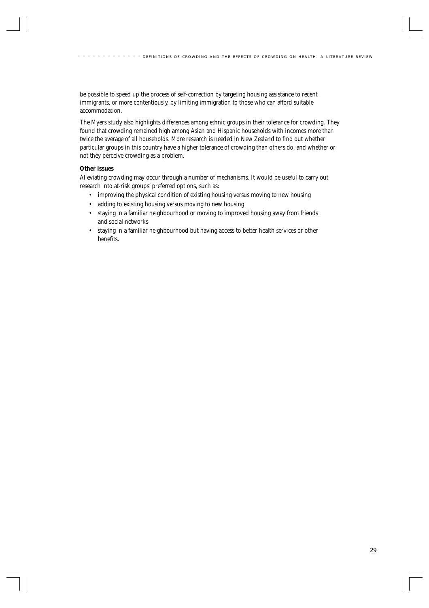be possible to speed up the process of self-correction by targeting housing assistance to recent immigrants, or more contentiously, by limiting immigration to those who can afford suitable accommodation.

The Myers study also highlights differences among ethnic groups in their tolerance for crowding. They found that crowding remained high among Asian and Hispanic households with incomes more than twice the average of all households. More research is needed in New Zealand to find out whether particular groups in this country have a higher tolerance of crowding than others do, and whether or not they perceive crowding as a problem.

### **Other issues**

Alleviating crowding may occur through a number of mechanisms. It would be useful to carry out research into at-risk groups' preferred options, such as:

- improving the physical condition of existing housing versus moving to new housing
- adding to existing housing versus moving to new housing
- staying in a familiar neighbourhood or moving to improved housing away from friends and social networks
- staying in a familiar neighbourhood but having access to better health services or other benefits.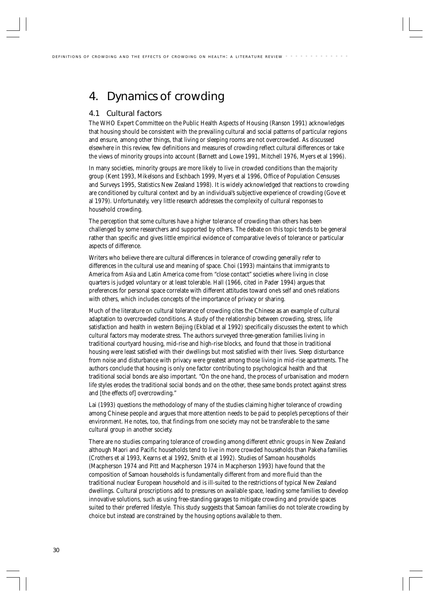# 4. Dynamics of crowding

# 4.1 Cultural factors

The WHO Expert Committee on the Public Health Aspects of Housing (Ranson 1991) acknowledges that housing should be consistent with the prevailing cultural and social patterns of particular regions and ensure, among other things, that living or sleeping rooms are not overcrowded. As discussed elsewhere in this review, few definitions and measures of crowding reflect cultural differences or take the views of minority groups into account (Barnett and Lowe 1991, Mitchell 1976, Myers et al 1996).

In many societies, minority groups are more likely to live in crowded conditions than the majority group (Kent 1993, Mikelsons and Eschbach 1999, Myers et al 1996, Office of Population Censuses and Surveys 1995, Statistics New Zealand 1998). It is widely acknowledged that reactions to crowding are conditioned by cultural context and by an individual's subjective experience of crowding (Gove et al 1979). Unfortunately, very little research addresses the complexity of cultural responses to household crowding.

The perception that some cultures have a higher tolerance of crowding than others has been challenged by some researchers and supported by others. The debate on this topic tends to be general rather than specific and gives little empirical evidence of comparative levels of tolerance or particular aspects of difference.

Writers who believe there are cultural differences in tolerance of crowding generally refer to differences in the cultural use and meaning of space. Choi (1993) maintains that immigrants to America from Asia and Latin America come from "close contact" societies where living in close quarters is judged voluntary or at least tolerable. Hall (1966, cited in Pader 1994) argues that preferences for personal space correlate with different attitudes toward one's self and one's relations with others, which includes concepts of the importance of privacy or sharing.

Much of the literature on cultural tolerance of crowding cites the Chinese as an example of cultural adaptation to overcrowded conditions. A study of the relationship between crowding, stress, life satisfaction and health in western Beijing (Ekblad et al 1992) specifically discusses the extent to which cultural factors may moderate stress. The authors surveyed three-generation families living in traditional courtyard housing, mid-rise and high-rise blocks, and found that those in traditional housing were least satisfied with their dwellings but most satisfied with their lives. Sleep disturbance from noise and disturbance with privacy were greatest among those living in mid-rise apartments. The authors conclude that housing is only one factor contributing to psychological health and that traditional social bonds are also important. "On the one hand, the process of urbanisation and modern life styles erodes the traditional social bonds and on the other, these same bonds protect against stress and [the effects of] overcrowding."

Lai (1993) questions the methodology of many of the studies claiming higher tolerance of crowding among Chinese people and argues that more attention needs to be paid to people's perceptions of their environment. He notes, too, that findings from one society may not be transferable to the same cultural group in another society.

There are no studies comparing tolerance of crowding among different ethnic groups in New Zealand although Maori and Pacific households tend to live in more crowded households than Pakeha families (Crothers et al 1993, Kearns et al 1992, Smith et al 1992). Studies of Samoan households (Macpherson 1974 and Pitt and Macpherson 1974 in Macpherson 1993) have found that the composition of Samoan households is fundamentally different from and more fluid than the traditional nuclear European household and is ill-suited to the restrictions of typical New Zealand dwellings. Cultural proscriptions add to pressures on available space, leading some families to develop innovative solutions, such as using free-standing garages to mitigate crowding and provide spaces suited to their preferred lifestyle. This study suggests that Samoan families do not tolerate crowding by choice but instead are constrained by the housing options available to them.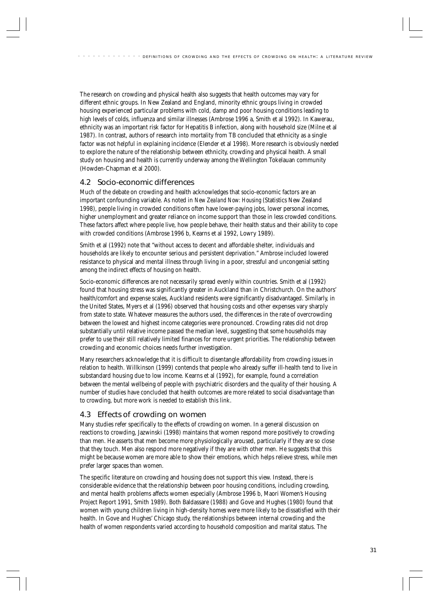The research on crowding and physical health also suggests that health outcomes may vary for different ethnic groups. In New Zealand and England, minority ethnic groups living in crowded housing experienced particular problems with cold, damp and poor housing conditions leading to high levels of colds, influenza and similar illnesses (Ambrose 1996 a, Smith et al 1992). In Kawerau, ethnicity was an important risk factor for Hepatitis B infection, along with household size (Milne et al 1987). In contrast, authors of research into mortality from TB concluded that ethnicity as a single factor was not helpful in explaining incidence (Elender et al 1998). More research is obviously needed to explore the nature of the relationship between ethnicity, crowding and physical health. A small study on housing and health is currently underway among the Wellington Tokelauan community (Howden-Chapman et al 2000).

# 4.2 Socio-economic differences

Much of the debate on crowding and health acknowledges that socio-economic factors are an important confounding variable. As noted in *New Zealand Now: Housing* (Statistics New Zealand 1998), people living in crowded conditions often have lower-paying jobs, lower personal incomes, higher unemployment and greater reliance on income support than those in less crowded conditions. These factors affect where people live, how people behave, their health status and their ability to cope with crowded conditions (Ambrose 1996 b, Kearns et al 1992, Lowry 1989).

Smith et al (1992) note that "without access to decent and affordable shelter, individuals and households are likely to encounter serious and persistent deprivation." Ambrose included lowered resistance to physical and mental illness through living in a poor, stressful and uncongenial setting among the indirect effects of housing on health.

Socio-economic differences are not necessarily spread evenly within countries. Smith et al (1992) found that housing stress was significantly greater in Auckland than in Christchurch. On the authors' health/comfort and expense scales, Auckland residents were significantly disadvantaged. Similarly, in the United States, Myers et al (1996) observed that housing costs and other expenses vary sharply from state to state. Whatever measures the authors used, the differences in the rate of overcrowding between the lowest and highest income categories were pronounced. Crowding rates did not drop substantially until relative income passed the median level, suggesting that some households may prefer to use their still relatively limited finances for more urgent priorities. The relationship between crowding and economic choices needs further investigation.

Many researchers acknowledge that it is difficult to disentangle affordability from crowding issues in relation to health. Willkinson (1999) contends that people who already suffer ill-health tend to live in substandard housing due to low income. Kearns et al (1992), for example, found a correlation between the mental wellbeing of people with psychiatric disorders and the quality of their housing. A number of studies have concluded that health outcomes are more related to social disadvantage than to crowding, but more work is needed to establish this link.

# 4.3 Effects of crowding on women

Many studies refer specifically to the effects of crowding on women. In a general discussion on reactions to crowding, Jazwinski (1998) maintains that women respond more positively to crowding than men. He asserts that men become more physiologically aroused, particularly if they are so close that they touch. Men also respond more negatively if they are with other men. He suggests that this might be because women are more able to show their emotions, which helps relieve stress, while men prefer larger spaces than women.

The specific literature on crowding and housing does not support this view. Instead, there is considerable evidence that the relationship between poor housing conditions, including crowding, and mental health problems affects women especially (Ambrose 1996 b, Maori Women's Housing Project Report 1991, Smith 1989). Both Baldassare (1988) and Gove and Hughes (1980) found that women with young children living in high-density homes were more likely to be dissatisfied with their health. In Gove and Hughes' Chicago study, the relationships between internal crowding and the health of women respondents varied according to household composition and marital status. The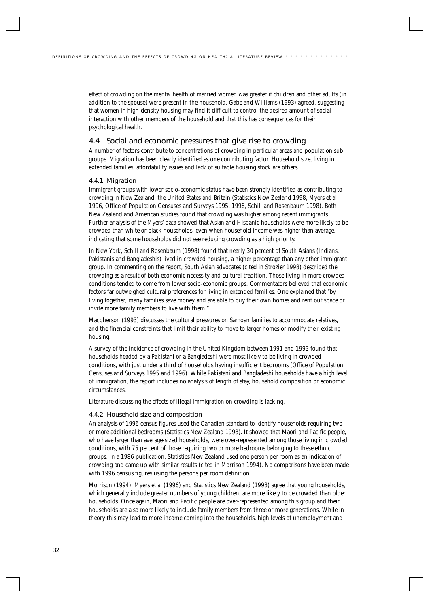effect of crowding on the mental health of married women was greater if children and other adults (in addition to the spouse) were present in the household. Gabe and Williams (1993) agreed, suggesting that women in high-density housing may find it difficult to control the desired amount of social interaction with other members of the household and that this has consequences for their psychological health.

## 4.4 Social and economic pressures that give rise to crowding

A number of factors contribute to concentrations of crowding in particular areas and population sub groups. Migration has been clearly identified as one contributing factor. Household size, living in extended families, affordability issues and lack of suitable housing stock are others.

### 4.4.1 Migration

Immigrant groups with lower socio-economic status have been strongly identified as contributing to crowding in New Zealand, the United States and Britain (Statistics New Zealand 1998, Myers et al 1996, Office of Population Censuses and Surveys 1995, 1996, Schill and Rosenbaum 1998). Both New Zealand and American studies found that crowding was higher among recent immigrants. Further analysis of the Myers' data showed that Asian and Hispanic households were more likely to be crowded than white or black households, even when household income was higher than average, indicating that some households did not see reducing crowding as a high priority.

In New York, Schill and Rosenbaum (1998) found that nearly 30 percent of South Asians (Indians, Pakistanis and Bangladeshis) lived in crowded housing, a higher percentage than any other immigrant group. In commenting on the report, South Asian advocates (cited in Strozier 1998) described the crowding as a result of both economic necessity and cultural tradition. Those living in more crowded conditions tended to come from lower socio-economic groups. Commentators believed that economic factors far outweighed cultural preferences for living in extended families. One explained that "by living together, many families save money and are able to buy their own homes and rent out space or invite more family members to live with them."

Macpherson (1993) discusses the cultural pressures on Samoan families to accommodate relatives, and the financial constraints that limit their ability to move to larger homes or modify their existing housing.

A survey of the incidence of crowding in the United Kingdom between 1991 and 1993 found that households headed by a Pakistani or a Bangladeshi were most likely to be living in crowded conditions, with just under a third of households having insufficient bedrooms (Office of Population Censuses and Surveys 1995 and 1996). While Pakistani and Bangladeshi households have a high level of immigration, the report includes no analysis of length of stay, household composition or economic circumstances.

Literature discussing the effects of illegal immigration on crowding is lacking.

#### 4.4.2 Household size and composition

An analysis of 1996 census figures used the Canadian standard to identify households requiring two or more additional bedrooms (Statistics New Zealand 1998). It showed that Maori and Pacific people, who have larger than average-sized households, were over-represented among those living in crowded conditions, with 75 percent of those requiring two or more bedrooms belonging to these ethnic groups. In a 1986 publication, Statistics New Zealand used one person per room as an indication of crowding and came up with similar results (cited in Morrison 1994). No comparisons have been made with 1996 census figures using the persons per room definition.

Morrison (1994), Myers et al (1996) and Statistics New Zealand (1998) agree that young households, which generally include greater numbers of young children, are more likely to be crowded than older households. Once again, Maori and Pacific people are over-represented among this group and their households are also more likely to include family members from three or more generations. While in theory this may lead to more income coming into the households, high levels of unemployment and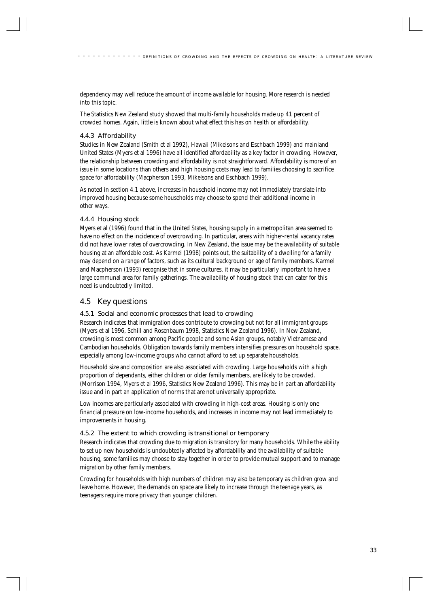dependency may well reduce the amount of income available for housing. More research is needed into this topic.

The Statistics New Zealand study showed that multi-family households made up 41 percent of crowded homes. Again, little is known about what effect this has on health or affordability.

## 4.4.3 Affordability

Studies in New Zealand (Smith et al 1992), Hawaii (Mikelsons and Eschbach 1999) and mainland United States (Myers et al 1996) have all identified affordability as a key factor in crowding. However, the relationship between crowding and affordability is not straightforward. Affordability is more of an issue in some locations than others and high housing costs may lead to families choosing to sacrifice space for affordability (Macpherson 1993, Mikelsons and Eschbach 1999).

As noted in section 4.1 above, increases in household income may not immediately translate into improved housing because some households may choose to spend their additional income in other ways.

### 4.4.4 Housing stock

Myers et al (1996) found that in the United States, housing supply in a metropolitan area seemed to have no effect on the incidence of overcrowding. In particular, areas with higher-rental vacancy rates did not have lower rates of overcrowding. In New Zealand, the issue may be the availability of suitable housing at an affordable cost. As Karmel (1998) points out, the suitability of a dwelling for a family may depend on a range of factors, such as its cultural background or age of family members. Karmel and Macpherson (1993) recognise that in some cultures, it may be particularly important to have a large communal area for family gatherings. The availability of housing stock that can cater for this need is undoubtedly limited.

# 4.5 Key questions

#### 4.5.1 Social and economic processes that lead to crowding

Research indicates that immigration does contribute to crowding but not for all immigrant groups (Myers et al 1996, Schill and Rosenbaum 1998, Statistics New Zealand 1996). In New Zealand, crowding is most common among Pacific people and some Asian groups, notably Vietnamese and Cambodian households. Obligation towards family members intensifies pressures on household space, especially among low-income groups who cannot afford to set up separate households.

Household size and composition are also associated with crowding. Large households with a high proportion of dependants, either children or older family members, are likely to be crowded. (Morrison 1994, Myers et al 1996, Statistics New Zealand 1996). This may be in part an affordability issue and in part an application of norms that are not universally appropriate.

Low incomes are particularly associated with crowding in high-cost areas. Housing is only one financial pressure on low-income households, and increases in income may not lead immediately to improvements in housing.

## 4.5.2 The extent to which crowding is transitional or temporary

Research indicates that crowding due to migration is transitory for many households. While the ability to set up new households is undoubtedly affected by affordability and the availability of suitable housing, some families may choose to stay together in order to provide mutual support and to manage migration by other family members.

Crowding for households with high numbers of children may also be temporary as children grow and leave home. However, the demands on space are likely to increase through the teenage years, as teenagers require more privacy than younger children.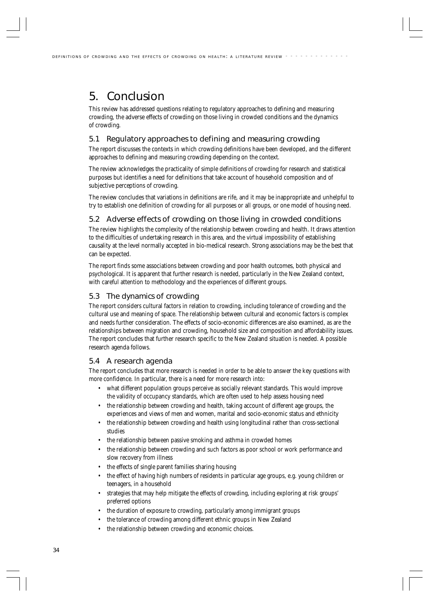# 5. Conclusion

This review has addressed questions relating to regulatory approaches to defining and measuring crowding, the adverse effects of crowding on those living in crowded conditions and the dynamics of crowding.

# 5.1 Regulatory approaches to defining and measuring crowding

The report discusses the contexts in which crowding definitions have been developed, and the different approaches to defining and measuring crowding depending on the context.

The review acknowledges the practicality of simple definitions of crowding for research and statistical purposes but identifies a need for definitions that take account of household composition and of subjective perceptions of crowding.

The review concludes that variations in definitions are rife, and it may be inappropriate and unhelpful to try to establish one definition of crowding for all purposes or all groups, or one model of housing need.

# 5.2 Adverse effects of crowding on those living in crowded conditions

The review highlights the complexity of the relationship between crowding and health. It draws attention to the difficulties of undertaking research in this area, and the virtual impossibility of establishing causality at the level normally accepted in bio-medical research. Strong associations may be the best that can be expected.

The report finds some associations between crowding and poor health outcomes, both physical and psychological. It is apparent that further research is needed, particularly in the New Zealand context, with careful attention to methodology and the experiences of different groups.

# 5.3 The dynamics of crowding

The report considers cultural factors in relation to crowding, including tolerance of crowding and the cultural use and meaning of space. The relationship between cultural and economic factors is complex and needs further consideration. The effects of socio-economic differences are also examined, as are the relationships between migration and crowding, household size and composition and affordability issues. The report concludes that further research specific to the New Zealand situation is needed. A possible research agenda follows.

# 5.4 A research agenda

The report concludes that more research is needed in order to be able to answer the key questions with more confidence. In particular, there is a need for more research into:

- what different population groups perceive as socially relevant standards. This would improve the validity of occupancy standards, which are often used to help assess housing need
- the relationship between crowding and health, taking account of different age groups, the experiences and views of men and women, marital and socio-economic status and ethnicity
- the relationship between crowding and health using longitudinal rather than cross-sectional studies
- the relationship between passive smoking and asthma in crowded homes
- the relationship between crowding and such factors as poor school or work performance and slow recovery from illness
- the effects of single parent families sharing housing
- the effect of having high numbers of residents in particular age groups, e.g. young children or teenagers, in a household
- strategies that may help mitigate the effects of crowding, including exploring at risk groups' preferred options
- the duration of exposure to crowding, particularly among immigrant groups
- the tolerance of crowding among different ethnic groups in New Zealand
- the relationship between crowding and economic choices.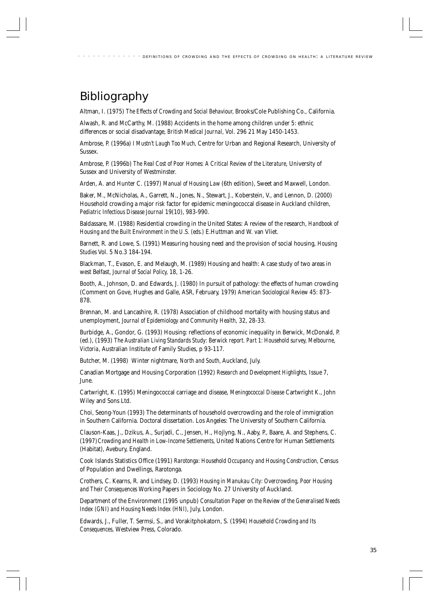# Bibliography

Altman, I. (1975) *The Effects of Crowding and Social Behaviour,* Brooks/Cole Publishing Co., California.

Alwash, R. and McCarthy, M. (1988) Accidents in the home among children under 5: ethnic differences or social disadvantage, *British Medical Journal,* Vol. 296 21 May 1450-1453.

Ambrose, P. (1996a) *I Mustn't Laugh Too Much,* Centre for Urban and Regional Research, University of Sussex.

Ambrose, P. (1996b) *The Real Cost of Poor Homes: A Critical Review of the Literature,* University of Sussex and University of Westminster.

Arden, A. and Hunter C. (1997) *Manual of Housing Law* (6th edition), Sweet and Maxwell, London.

Baker, M., McNicholas, A., Garrett, N., Jones, N., Stewart, J., Koberstein, V., and Lennon, D. (2000) Household crowding a major risk factor for epidemic meningococcal disease in Auckland children, *Pediatric Infectious Disease Journal* 19(10), 983-990.

Baldassare, M. (1988) Residential crowding in the United States: A review of the research, *Handbook of Housing and the Built Environment in the U.S. (eds.)* E.Huttman and W. van Vliet.

Barnett, R. and Lowe, S. (1991) Measuring housing need and the provision of social housing, *Housing Studies* Vol. 5 No.3 184-194.

Blackman, T., Evason, E. and Melaugh, M. (1989) Housing and health: A case study of two areas in west Belfast, *Journal of Social Policy,* 18, 1-26.

Booth, A., Johnson, D. and Edwards, J. (1980) In pursuit of pathology: the effects of human crowding (Comment on Gove, Hughes and Galle, ASR, February, 1979) *American Sociological Review* 45: 873- 878.

Brennan, M. and Lancashire, R. (1978) Association of childhood mortality with housing status and unemployment, *Journal of Epidemiology and Community Health*, 32, 28-33.

Burbidge, A., Gondor, G. (1993) Housing: reflections of economic inequality in Berwick, McDonald, P. (ed.), (1993) *The Australian Living Standards Study: Berwick report. Part 1: Household survey, Melbourne, Victoria*, Australian Institute of Family Studies, p 93-117.

Butcher, M. (1998) Winter nightmare, *North and South,* Auckland, July.

Canadian Mortgage and Housing Corporation (1992) *Research and Development Highlights,* Issue 7, June.

Cartwright, K. (1995) Meningococcal carriage and disease, *Meningococcal Disease* Cartwright K., John Wiley and Sons Ltd.

Choi, Seong-Youn (1993) The determinants of household overcrowding and the role of immigration in Southern California. Doctoral dissertation. Los Angeles: The University of Southern California.

Clauson-Kaas, J., Dzikus, A., Surjadi, C., Jensen, H., Hojlyng, N., Aaby, P., Baare, A. and Stephens, C. (1997)*Crowding and Health in Low-Income Settlements,* United Nations Centre for Human Settlements (Habitat), Avebury, England.

Cook Islands Statistics Office (1991) *Rarotonga: Household Occupancy and Housing Construction,* Census of Population and Dwellings, Rarotonga.

Crothers, C. Kearns, R. and Lindsey, D. (1993) *Housing in Manukau City: Overcrowding, Poor Housing and Their Consequences* Working Papers in Sociology No. 27 University of Auckland.

Department of the Environment (1995 unpub) *Consultation Paper on the Review of the Generalised Needs Index (GNI) and Housing Needs Index (HNI)*, July, London.

Edwards, J., Fuller, T. Sermsi, S., and Vorakitphokatorn, S. (1994) *Household Crowding and Its Consequences,* Westview Press, Colorado.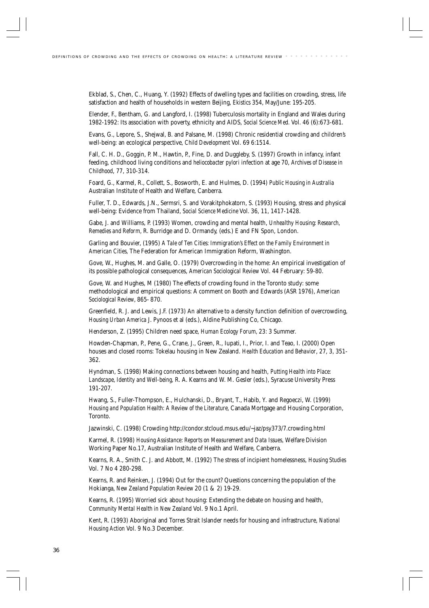Ekblad, S., Chen, C., Huang, Y. (1992) Effects of dwelling types and facilities on crowding, stress, life satisfaction and health of households in western Beijing, *Ekistics* 354, May/June: 195-205.

Elender, F., Bentham, G. and Langford, I. (1998) Tuberculosis mortality in England and Wales during 1982-1992: Its association with poverty, ethnicity and AIDS, *Social Science Med.* Vol. 46 (6):673-681.

Evans, G., Lepore, S., Shejwal, B. and Palsane, M. (1998) Chronic residential crowding and children's well-being: an ecological perspective, *Child Development* Vol. 69 6:1514.

Fall, C. H. D., Goggin, P. M., Hawtin, P., Fine, D. and Duggleby, S. (1997) Growth in infancy, infant feeding, childhood living conditions and *heliocobacter pylori* infection at age 70, *Archives of Disease in Childhood*, 77, 310-314.

Foard, G., Karmel, R., Collett, S., Bosworth, E. and Hulmes, D. (1994) *Public Housing in Australia* Australian Institute of Health and Welfare, Canberra.

Fuller, T. D., Edwards, J.N., Sermsri, S. and Vorakitphokatorn, S. (1993) Housing, stress and physical well-being: Evidence from Thailand, *Social Science Medicine* Vol. 36, 11, 1417-1428.

Gabe, J. and Williams, P. (1993) Women, crowding and mental health, *Unhealthy Housing: Research, Remedies and Reform,* R. Burridge and D. Ormandy, (eds.) E and FN Spon, London.

Garling and Bouvier, (1995) *A Tale of Ten Cities: Immigration's Effect on the Family Environment in American Cities,* The Federation for American Immigration Reform, Washington.

Gove, W., Hughes, M. and Galle, O. (1979) Overcrowding in the home: An empirical investigation of its possible pathological consequences, *American Sociological Review* Vol. 44 February: 59-80.

Gove, W. and Hughes, M (1980) The effects of crowding found in the Toronto study: some methodological and empirical questions: A comment on Booth and Edwards (ASR 1976), *American Sociological Review*, 865- 870.

Greenfield, R. J. and Lewis, J.F. (1973) An alternative to a density function definition of overcrowding, *Housing Urban America* J. Pynoos et al (eds.), Aldine Publishing Co, Chicago.

Henderson, Z. (1995) Children need space, *Human Ecology Forum,* 23: 3 Summer.

Howden-Chapman, P., Pene, G., Crane, J., Green, R., Iupati, I., Prior, I. and Teao, I. (2000) Open houses and closed rooms: Tokelau housing in New Zealand. *Health Education and Behavior*, 27, 3, 351- 362.

Hyndman, S. (1998) Making connections between housing and health, *Putting Health into Place: Landscape, Identity and Well-being,* R. A. Kearns and W. M. Gesler (eds.), Syracuse University Press 191-207.

Hwang, S., Fuller-Thompson, E., Hulchanski, D., Bryant, T., Habib, Y. and Regoeczi, W. (1999) *Housing and Population Health: A Review of the Literature,* Canada Mortgage and Housing Corporation, Toronto.

Jazwinski, C. (1998) Crowding http://condor.stcloud.msus.edu/~jaz/psy373/7.crowding.html

Karmel, R. (1998) *Housing Assistance: Reports on Measurement and Data Issues,* Welfare Division Working Paper No.17, Australian Institute of Health and Welfare, Canberra.

Kearns, R. A., Smith C. J. and Abbott, M. (1992) The stress of incipient homelessness, *Housing Studies* Vol. 7 No 4 280-298.

Kearns, R. and Reinken, J. (1994) Out for the count? Questions concerning the population of the Hokianga, *New Zealand Population Review* 20 (1 & 2) 19-29.

Kearns, R. (1995) Worried sick about housing: Extending the debate on housing and health, *Community Mental Health in New Zealand* Vol. 9 No.1 April.

Kent, R. (1993) Aboriginal and Torres Strait Islander needs for housing and infrastructure, *National Housing Action* Vol. 9 No.3 December.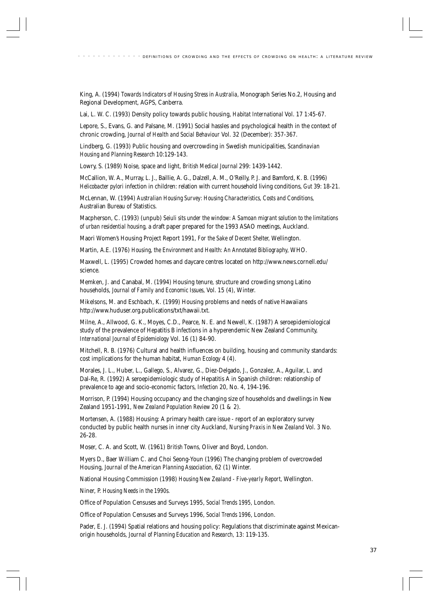King, A. (1994) *Towards Indicators of Housing Stress in Australia,* Monograph Series No.2, Housing and Regional Development, AGPS, Canberra.

Lai, L. W. C. (1993) Density policy towards public housing, *Habitat International* Vol. 17 1:45-67.

Lepore, S., Evans, G. and Palsane, M. (1991) Social hassles and psychological health in the context of chronic crowding, *Journal of Health and Social Behaviour* Vol. 32 (December): 357-367.

Lindberg, G. (1993) Public housing and overcrowding in Swedish municipalities, *Scandinavian Housing and Planning Research* 10:129-143.

Lowry, S. (1989) Noise, space and light, *British Medical Journal* 299: 1439-1442.

McCallion, W. A., Murray, L. J., Baillie, A. G., Dalzell, A. M., O'Reilly, P. J. and Bamford, K. B. (1996) *Helicobacter pylori* infection in children: relation with current household living conditions, *Gut* 39: 18-21.

McLennan, W. (1994) *Australian Housing Survey: Housing Characteristics, Costs and Conditions,* Australian Bureau of Statistics.

Macpherson, C. (1993) (unpub) *Seiuli sits under the window: A Samoan migrant solution to the limitations of urban residential housing,* a draft paper prepared for the 1993 ASAO meetings, Auckland.

Maori Women's Housing Project Report 1991, *For the Sake of Decent Shelter,* Wellington.

Martin, A.E. (1976) *Housing, the Environment and Health: An Annotated Bibliography,* WHO.

Maxwell, L. (1995) Crowded homes and daycare centres located on http://www.news.cornell.edu/ science.

Memken, J. and Canabal, M. (1994) Housing tenure, structure and crowding smong Latino households, *Journal of Family and Economic Issues,* Vol. 15 (4), Winter.

Mikelsons, M. and Eschbach, K. (1999) Housing problems and needs of native Hawaiians http://www.huduser.org.publications/txt/hawaii.txt.

Milne, A., Allwood, G. K., Moyes, C.D., Pearce, N. E. and Newell, K. (1987) A seroepidemiological study of the prevalence of Hepatitis B infections in a hyperendemic New Zealand Community, *International Journal of Epidemiology* Vol. 16 (1) 84-90.

Mitchell, R. B. (1976) Cultural and health influences on building, housing and community standards: cost implications for the human habitat, *Human Ecology* 4 (4).

Morales, J. L., Huber, L., Gallego, S., Alvarez, G., Diez-Delgado, J., Gonzalez, A., Aguilar, L. and Dal-Re, R. (1992) A seroepidemiologic study of Hepatitis A in Spanish children: relationship of prevalence to age and socio-economic factors, *Infection* 20, No. 4, 194-196.

Morrison, P. (1994) Housing occupancy and the changing size of households and dwellings in New Zealand 1951-1991, *New Zealand Population Review* 20 (1 & 2).

Mortensen, A. (1988) Housing: A primary health care issue - report of an exploratory survey conducted by public health nurses in inner city Auckland, *Nursing Praxis in New Zealand* Vol. 3 No. 26-28.

Moser, C. A. and Scott, W. (1961) *British Towns,* Oliver and Boyd, London.

Myers D., Baer William C. and Choi Seong-Youn (1996) The changing problem of overcrowded Housing, *Journal of the American Planning Association,* 62 (1) Winter.

National Housing Commission (1998) *Housing New Zealand - Five-yearly Report,* Wellington.

Niner, P. *Housing Needs in the 1990s.*

Office of Population Censuses and Surveys 1995, *Social Trends 1995,* London.

Office of Population Censuses and Surveys 1996, *Social Trends 1996*, London.

Pader, E. J. (1994) Spatial relations and housing policy: Regulations that discriminate against Mexicanorigin households, *Journal of Planning Education and Research,* 13: 119-135.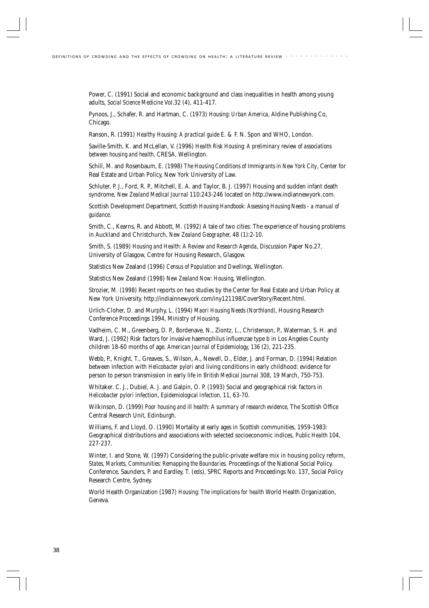Power, C. (1991) Social and economic background and class inequalities in health among young adults, *Social Science Medicine* Vol.32 (4), 411-417.

Pynoos, J., Schafer, R. and Hartman, C. (1973) *Housing: Urban America,* Aldine Publishing Co, Chicago.

Ranson, R. (1991) *Healthy Housing: A practical guide* E. & F. N. Spon and WHO, London.

Saville-Smith, K. and McLellan, V. (1996) *Health Risk Housing: A preliminary review of associations between housing and health,* CRESA, Wellington.

Schill, M. and Rosenbaum, E. (1998) *The Housing Conditions of Immigrants in New York City*, Center for Real Estate and Urban Policy, New York University of Law.

Schluter, P. J., Ford, R. P., Mitchell, E. A. and Taylor, B. J. (1997) Housing and sudden infant death syndrome, *New Zealand Medical Journal* 110:243-246 located on http://www.indiannewyork.com.

Scottish Development Department, *Scottish Housing Handbook: Assessing Housing Needs - a manual of guidance.*

Smith, C., Kearns, R. and Abbott, M. (1992) A tale of two cities: The experience of housing problems in Auckland and Christchurch, *New Zealand Geographer,* 48 (1):2-10.

Smith, S. (1989) *Housing and Health: A Review and Research Agenda,* Discussion Paper No.27*,* University of Glasgow, Centre for Housing Research, Glasgow.

Statistics New Zealand (1996) *Census of Population and Dwellings*, Wellington.

Statistics New Zealand (1998) *New Zealand Now: Housing*, Wellington.

Strozier, M. (1998) Recent reports on two studies by the Center for Real Estate and Urban Policy at New York University. http://indiainnewyork.com/iny121198/CoverStory/Recent.html.

Urlich-Cloher, D. and Murphy, L. (1994) *Maori Housing Needs (Northland),* Housing Research Conference Proceedings 1994, Ministry of Housing.

Vadheim, C. M., Greenberg, D. P., Bordenave, N., Ziontz, L., Christenson, P., Waterman, S. H. and Ward, J. (1992) Risk factors for invasive haemophilus influenzae type b in Los Angeles County children 18-60 months of age. *American Journal of Epidemiology, 136* (2), 221-235.

Webb, P., Knight, T., Greaves, S., Wilson, A., Newell, D., Elder, J. and Forman, D. (1994) Relation between infection with *Helicobacter pylori* and living conditions in early childhood: evidence for person to person transmission in early life in *British Medical Journal* 308, 19 March, 750-753.

Whitaker. C. J., Dubiel, A. J. and Galpin, O. P. (1993) Social and geographical risk factors in *Helicobacter pylori* infection, *Epidemiological Infection,* 11, 63-70.

Wilkinson, D. (1999) *Poor housing and ill health: A summary of research evidence,* The Scottish Office Central Research Unit, Edinburgh.

Williams, F. and Lloyd, O. (1990) Mortality at early ages in Scottish communities, 1959-1983: Geographical distributions and associations with selected socioeconomic indices, *Public Health* 104, 227-237.

Winter, I. and Stone, W. (1997) Considering the public-private welfare mix in housing policy reform, *States, Markets, Communities: Remapping the Boundaries.* Proceedings of the National Social Policy. Conference, Saunders, P. and Eardley, T. (eds), SPRC Reports and Proceedings No. 137, Social Policy Research Centre, Sydney.

World Health Organization (1987) *Housing: The implications for health* World Health Organization, Geneva.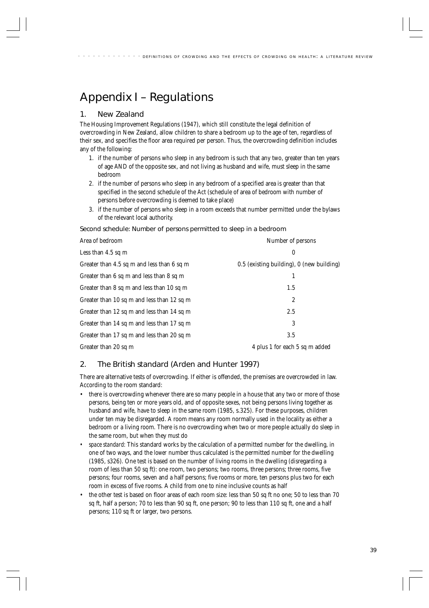# Appendix I – Regulations

# 1. New Zealand

The Housing Improvement Regulations (1947), which still constitute the legal definition of overcrowding in New Zealand, allow children to share a bedroom up to the age of ten, regardless of their sex, and specifies the floor area required per person. Thus, the overcrowding definition includes any of the following:

- 1. if the number of persons who sleep in any bedroom is such that any two, greater than ten years of age AND of the opposite sex, and not living as husband and wife, must sleep in the same bedroom
- 2. if the number of persons who sleep in any bedroom of a specified area is greater than that specified in the second schedule of the Act (schedule of area of bedroom with number of persons before overcrowding is deemed to take place)
- 3. if the number of persons who sleep in a room exceeds that number permitted under the bylaws of the relevant local authority.

Second schedule: Number of persons permitted to sleep in a bedroom

| Area of bedroom                            | Number of persons                         |  |
|--------------------------------------------|-------------------------------------------|--|
| Less than $4.5$ sq m                       | 0                                         |  |
| Greater than 4.5 sq m and less than 6 sq m | 0.5 (existing building), 0 (new building) |  |
| Greater than 6 sq m and less than 8 sq m   |                                           |  |
| Greater than 8 sq m and less than 10 sq m  | 1.5                                       |  |
| Greater than 10 sq m and less than 12 sq m | $\overline{c}$                            |  |
| Greater than 12 sq m and less than 14 sq m | 2.5                                       |  |
| Greater than 14 sq m and less than 17 sq m | 3                                         |  |
| Greater than 17 sq m and less than 20 sq m | 3.5                                       |  |
| Greater than 20 sq m                       | 4 plus 1 for each 5 sq m added            |  |

# 2. The British standard (Arden and Hunter 1997)

There are alternative tests of overcrowding. If either is offended, the premises are overcrowded in law. According to the room standard:

- there is overcrowding whenever there are so many people in a house that any two or more of those persons, being ten or more years old, and of opposite sexes, not being persons living together as husband and wife, have to sleep in the same room (1985, s.325). For these purposes, children under ten may be disregarded. A room means any room normally used in the locality as either a bedroom or a living room. There is no overcrowding when two or more people actually do sleep in the same room, but when they *must* do
- *space standard*: This standard works by the calculation of a permitted number for the dwelling, in one of two ways, and the *lower* number thus calculated is the permitted number for the dwelling (1985, s326). One test is based on the number of living rooms in the dwelling (disregarding a room of less than 50 sq ft): one room, two persons; two rooms, three persons; three rooms, five persons; four rooms, seven and a half persons; five rooms or more, ten persons plus two for each room in excess of five rooms. A child from one to nine inclusive counts as half
- the other test is based on floor areas of each room size: less than 50 sq ft no one; 50 to less than 70 sq ft, half a person; 70 to less than 90 sq ft, one person; 90 to less than 110 sq ft, one and a half persons; 110 sq ft or larger, two persons.